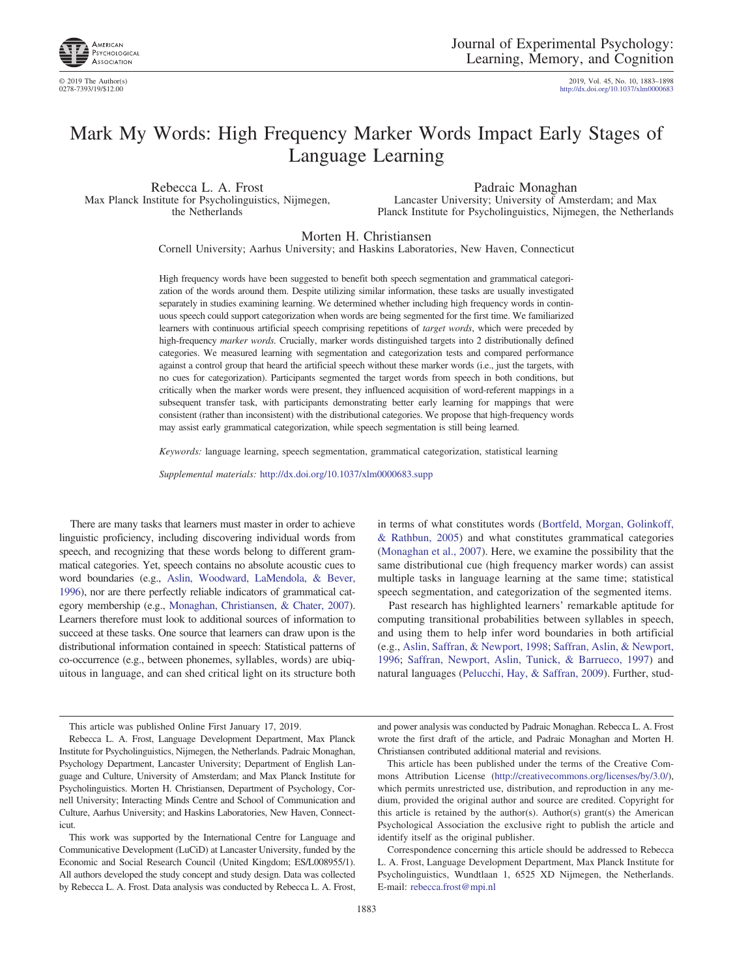

# Mark My Words: High Frequency Marker Words Impact Early Stages of Language Learning

Rebecca L. A. Frost Max Planck Institute for Psycholinguistics, Nijmegen, the Netherlands

Padraic Monaghan Lancaster University; University of Amsterdam; and Max Planck Institute for Psycholinguistics, Nijmegen, the Netherlands

Morten H. Christiansen

Cornell University; Aarhus University; and Haskins Laboratories, New Haven, Connecticut

High frequency words have been suggested to benefit both speech segmentation and grammatical categorization of the words around them. Despite utilizing similar information, these tasks are usually investigated separately in studies examining learning. We determined whether including high frequency words in continuous speech could support categorization when words are being segmented for the first time. We familiarized learners with continuous artificial speech comprising repetitions of *target words*, which were preceded by high-frequency *marker words.* Crucially, marker words distinguished targets into 2 distributionally defined categories. We measured learning with segmentation and categorization tests and compared performance against a control group that heard the artificial speech without these marker words (i.e., just the targets, with no cues for categorization). Participants segmented the target words from speech in both conditions, but critically when the marker words were present, they influenced acquisition of word-referent mappings in a subsequent transfer task, with participants demonstrating better early learning for mappings that were consistent (rather than inconsistent) with the distributional categories. We propose that high-frequency words may assist early grammatical categorization, while speech segmentation is still being learned.

*Keywords:* language learning, speech segmentation, grammatical categorization, statistical learning

*Supplemental materials:* http://dx.doi.org/10.1037/xlm0000683.supp

There are many tasks that learners must master in order to achieve linguistic proficiency, including discovering individual words from speech, and recognizing that these words belong to different grammatical categories. Yet, speech contains no absolute acoustic cues to word boundaries (e.g., [Aslin, Woodward, LaMendola, & Bever,](#page-13-0) [1996\)](#page-13-0), nor are there perfectly reliable indicators of grammatical category membership (e.g., [Monaghan, Christiansen, & Chater, 2007\)](#page-15-0). Learners therefore must look to additional sources of information to succeed at these tasks. One source that learners can draw upon is the distributional information contained in speech: Statistical patterns of co-occurrence (e.g., between phonemes, syllables, words) are ubiquitous in language, and can shed critical light on its structure both

in terms of what constitutes words [\(Bortfeld, Morgan, Golinkoff,](#page-13-1) [& Rathbun, 2005\)](#page-13-1) and what constitutes grammatical categories [\(Monaghan et al., 2007\)](#page-15-0). Here, we examine the possibility that the same distributional cue (high frequency marker words) can assist multiple tasks in language learning at the same time; statistical speech segmentation, and categorization of the segmented items.

Past research has highlighted learners' remarkable aptitude for computing transitional probabilities between syllables in speech, and using them to help infer word boundaries in both artificial (e.g., [Aslin, Saffran, & Newport, 1998;](#page-13-2) [Saffran, Aslin, & Newport,](#page-15-1) [1996;](#page-15-1) [Saffran, Newport, Aslin, Tunick, & Barrueco, 1997\)](#page-15-2) and natural languages [\(Pelucchi, Hay, & Saffran, 2009\)](#page-15-3). Further, stud-

This article was published Online First January 17, 2019.

This work was supported by the International Centre for Language and Communicative Development (LuCiD) at Lancaster University, funded by the Economic and Social Research Council (United Kingdom; ES/L008955/1). All authors developed the study concept and study design. Data was collected by Rebecca L. A. Frost. Data analysis was conducted by Rebecca L. A. Frost,

and power analysis was conducted by Padraic Monaghan. Rebecca L. A. Frost wrote the first draft of the article, and Padraic Monaghan and Morten H. Christiansen contributed additional material and revisions.

This article has been published under the terms of the Creative Commons Attribution License [\(http://creativecommons.org/licenses/by/3.0/\)](http://creativecommons.org/licenses/by/3.0/), which permits unrestricted use, distribution, and reproduction in any medium, provided the original author and source are credited. Copyright for this article is retained by the author(s). Author(s) grant(s) the American Psychological Association the exclusive right to publish the article and identify itself as the original publisher.

Correspondence concerning this article should be addressed to Rebecca L. A. Frost, Language Development Department, Max Planck Institute for Psycholinguistics, Wundtlaan 1, 6525 XD Nijmegen, the Netherlands. E-mail: [rebecca.frost@mpi.nl](mailto:rebecca.frost@mpi.nl)

Rebecca L. A. Frost, Language Development Department, Max Planck Institute for Psycholinguistics, Nijmegen, the Netherlands. Padraic Monaghan, Psychology Department, Lancaster University; Department of English Language and Culture, University of Amsterdam; and Max Planck Institute for Psycholinguistics. Morten H. Christiansen, Department of Psychology, Cornell University; Interacting Minds Centre and School of Communication and Culture, Aarhus University; and Haskins Laboratories, New Haven, Connecticut.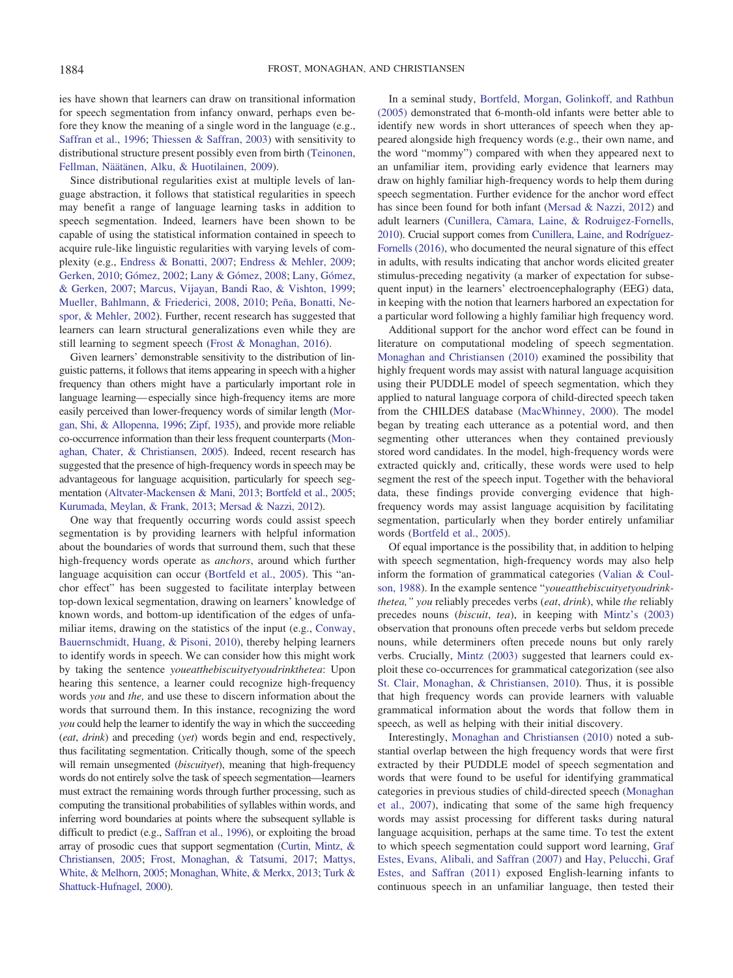ies have shown that learners can draw on transitional information for speech segmentation from infancy onward, perhaps even before they know the meaning of a single word in the language (e.g., [Saffran et al., 1996;](#page-15-1) [Thiessen & Saffran, 2003\)](#page-15-4) with sensitivity to distributional structure present possibly even from birth [\(Teinonen,](#page-15-5) [Fellman, Näätänen, Alku, & Huotilainen, 2009\)](#page-15-5).

Since distributional regularities exist at multiple levels of language abstraction, it follows that statistical regularities in speech may benefit a range of language learning tasks in addition to speech segmentation. Indeed, learners have been shown to be capable of using the statistical information contained in speech to acquire rule-like linguistic regularities with varying levels of complexity (e.g., [Endress & Bonatti, 2007;](#page-14-0) [Endress & Mehler, 2009;](#page-14-1) [Gerken, 2010;](#page-14-2) [Gómez, 2002;](#page-14-3) [Lany & Gómez, 2008;](#page-14-4) [Lany, Gómez,](#page-14-5) [& Gerken, 2007;](#page-14-5) [Marcus, Vijayan, Bandi Rao, & Vishton, 1999;](#page-14-6) [Mueller, Bahlmann, & Friederici, 2008,](#page-15-6) [2010;](#page-15-7) [Peña, Bonatti, Ne](#page-15-8)[spor, & Mehler, 2002\)](#page-15-8). Further, recent research has suggested that learners can learn structural generalizations even while they are still learning to segment speech [\(Frost & Monaghan, 2016\)](#page-14-7).

Given learners' demonstrable sensitivity to the distribution of linguistic patterns, it follows that items appearing in speech with a higher frequency than others might have a particularly important role in language learning—especially since high-frequency items are more easily perceived than lower-frequency words of similar length [\(Mor](#page-15-9)[gan, Shi, & Allopenna, 1996;](#page-15-9) [Zipf, 1935\)](#page-15-10), and provide more reliable co-occurrence information than their less frequent counterparts [\(Mon](#page-15-11)[aghan, Chater, & Christiansen, 2005\)](#page-15-11). Indeed, recent research has suggested that the presence of high-frequency words in speech may be advantageous for language acquisition, particularly for speech segmentation [\(Altvater-Mackensen & Mani, 2013;](#page-13-3) [Bortfeld et al., 2005;](#page-13-1) [Kurumada, Meylan, & Frank, 2013;](#page-14-8) [Mersad & Nazzi, 2012\)](#page-15-12).

One way that frequently occurring words could assist speech segmentation is by providing learners with helpful information about the boundaries of words that surround them, such that these high-frequency words operate as *anchors*, around which further language acquisition can occur [\(Bortfeld et al., 2005\)](#page-13-1). This "anchor effect" has been suggested to facilitate interplay between top-down lexical segmentation, drawing on learners' knowledge of known words, and bottom-up identification of the edges of unfamiliar items, drawing on the statistics of the input (e.g., [Conway,](#page-14-9) [Bauernschmidt, Huang, & Pisoni, 2010\)](#page-14-9), thereby helping learners to identify words in speech. We can consider how this might work by taking the sentence *youeatthebiscuityetyoudrinkthetea*: Upon hearing this sentence, a learner could recognize high-frequency words *you* and *the,* and use these to discern information about the words that surround them. In this instance, recognizing the word *you* could help the learner to identify the way in which the succeeding (*eat*, *drink*) and preceding (*yet*) words begin and end, respectively, thus facilitating segmentation. Critically though, some of the speech will remain unsegmented (*biscuityet*), meaning that high-frequency words do not entirely solve the task of speech segmentation—learners must extract the remaining words through further processing, such as computing the transitional probabilities of syllables within words, and inferring word boundaries at points where the subsequent syllable is difficult to predict (e.g., [Saffran et al., 1996\)](#page-15-1), or exploiting the broad array of prosodic cues that support segmentation [\(Curtin, Mintz, &](#page-14-10) [Christiansen, 2005;](#page-14-10) [Frost, Monaghan, & Tatsumi, 2017;](#page-14-11) [Mattys,](#page-14-12) [White, & Melhorn, 2005;](#page-14-12) [Monaghan, White, & Merkx, 2013;](#page-15-13) [Turk &](#page-15-14) [Shattuck-Hufnagel, 2000\)](#page-15-14).

In a seminal study, [Bortfeld, Morgan, Golinkoff, and Rathbun](#page-13-1) [\(2005\)](#page-13-1) demonstrated that 6-month-old infants were better able to identify new words in short utterances of speech when they appeared alongside high frequency words (e.g., their own name, and the word "mommy") compared with when they appeared next to an unfamiliar item, providing early evidence that learners may draw on highly familiar high-frequency words to help them during speech segmentation. Further evidence for the anchor word effect has since been found for both infant [\(Mersad & Nazzi, 2012\)](#page-15-12) and adult learners (Cunillera, Càmara, Laine, & Rodruigez-Fornells, [2010\)](#page-14-13). Crucial support comes from [Cunillera, Laine, and Rodríguez-](#page-14-14)[Fornells](#page-14-14) (2016), who documented the neural signature of this effect in adults, with results indicating that anchor words elicited greater stimulus-preceding negativity (a marker of expectation for subsequent input) in the learners' electroencephalography (EEG) data, in keeping with the notion that learners harbored an expectation for a particular word following a highly familiar high frequency word.

Additional support for the anchor word effect can be found in literature on computational modeling of speech segmentation. [Monaghan and Christiansen \(2010\)](#page-15-15) examined the possibility that highly frequent words may assist with natural language acquisition using their PUDDLE model of speech segmentation, which they applied to natural language corpora of child-directed speech taken from the CHILDES database [\(MacWhinney, 2000\)](#page-14-15). The model began by treating each utterance as a potential word, and then segmenting other utterances when they contained previously stored word candidates. In the model, high-frequency words were extracted quickly and, critically, these words were used to help segment the rest of the speech input. Together with the behavioral data, these findings provide converging evidence that highfrequency words may assist language acquisition by facilitating segmentation, particularly when they border entirely unfamiliar words [\(Bortfeld et al., 2005\)](#page-13-1).

Of equal importance is the possibility that, in addition to helping with speech segmentation, high-frequency words may also help inform the formation of grammatical categories [\(Valian & Coul](#page-15-16)[son, 1988\)](#page-15-16). In the example sentence "*youeatthebiscuityetyoudrinkthetea," you* reliably precedes verbs (*eat*, *drink*), while *the* reliably precedes nouns (*biscuit*, *tea*), in keeping with [Mintz's \(2003\)](#page-15-17) observation that pronouns often precede verbs but seldom precede nouns, while determiners often precede nouns but only rarely verbs. Crucially, [Mintz \(2003\)](#page-15-17) suggested that learners could exploit these co-occurrences for grammatical categorization (see also [St. Clair, Monaghan, & Christiansen, 2010\)](#page-15-18). Thus, it is possible that high frequency words can provide learners with valuable grammatical information about the words that follow them in speech, as well as helping with their initial discovery.

Interestingly, [Monaghan and Christiansen \(2010\)](#page-15-15) noted a substantial overlap between the high frequency words that were first extracted by their PUDDLE model of speech segmentation and words that were found to be useful for identifying grammatical categories in previous studies of child-directed speech [\(Monaghan](#page-15-0) [et al., 2007\)](#page-15-0), indicating that some of the same high frequency words may assist processing for different tasks during natural language acquisition, perhaps at the same time. To test the extent to which speech segmentation could support word learning, [Graf](#page-14-16) [Estes, Evans, Alibali, and Saffran \(2007\)](#page-14-16) and [Hay, Pelucchi, Graf](#page-14-17) [Estes, and Saffran \(2011\)](#page-14-17) exposed English-learning infants to continuous speech in an unfamiliar language, then tested their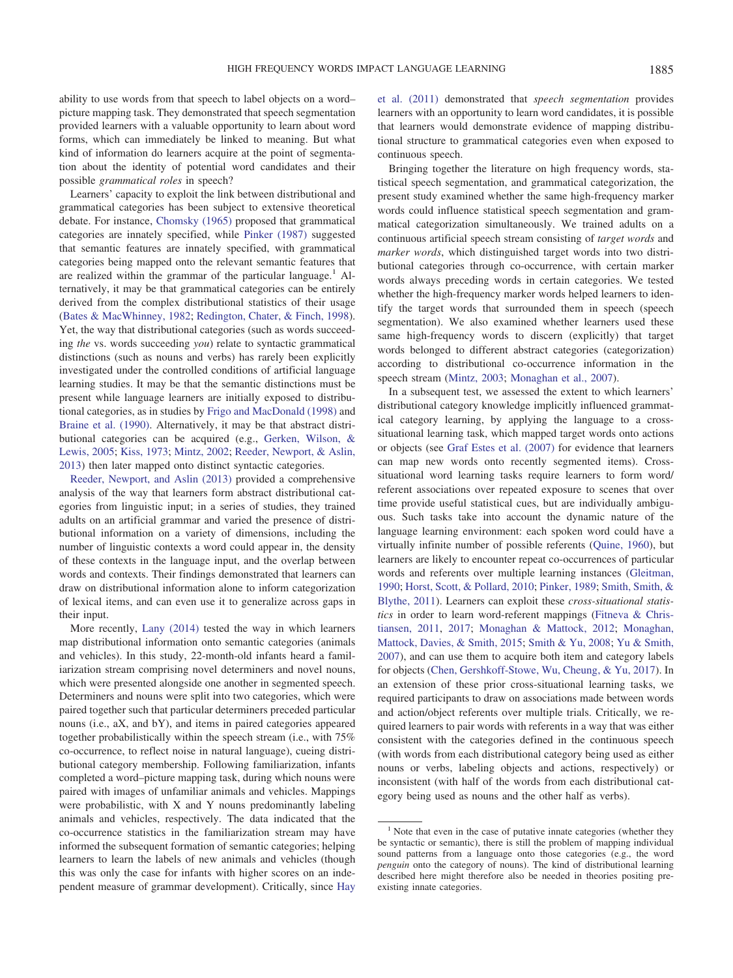ability to use words from that speech to label objects on a word– picture mapping task. They demonstrated that speech segmentation provided learners with a valuable opportunity to learn about word forms, which can immediately be linked to meaning. But what kind of information do learners acquire at the point of segmentation about the identity of potential word candidates and their possible *grammatical roles* in speech?

Learners' capacity to exploit the link between distributional and grammatical categories has been subject to extensive theoretical debate. For instance, [Chomsky \(1965\)](#page-14-18) proposed that grammatical categories are innately specified, while [Pinker \(1987\)](#page-15-19) suggested that semantic features are innately specified, with grammatical categories being mapped onto the relevant semantic features that are realized within the grammar of the particular language.<sup>1</sup> Alternatively, it may be that grammatical categories can be entirely derived from the complex distributional statistics of their usage [\(Bates & MacWhinney, 1982;](#page-13-4) [Redington, Chater, & Finch, 1998\)](#page-15-20). Yet, the way that distributional categories (such as words succeeding *the* vs. words succeeding *you*) relate to syntactic grammatical distinctions (such as nouns and verbs) has rarely been explicitly investigated under the controlled conditions of artificial language learning studies. It may be that the semantic distinctions must be present while language learners are initially exposed to distributional categories, as in studies by [Frigo and MacDonald \(1998\)](#page-14-19) and [Braine et al. \(1990\).](#page-13-5) Alternatively, it may be that abstract distributional categories can be acquired (e.g., [Gerken, Wilson, &](#page-14-20) [Lewis, 2005;](#page-14-20) [Kiss, 1973;](#page-14-21) [Mintz, 2002;](#page-15-21) [Reeder, Newport, & Aslin,](#page-15-22) [2013\)](#page-15-22) then later mapped onto distinct syntactic categories.

[Reeder, Newport, and Aslin \(2013\)](#page-15-22) provided a comprehensive analysis of the way that learners form abstract distributional categories from linguistic input; in a series of studies, they trained adults on an artificial grammar and varied the presence of distributional information on a variety of dimensions, including the number of linguistic contexts a word could appear in, the density of these contexts in the language input, and the overlap between words and contexts. Their findings demonstrated that learners can draw on distributional information alone to inform categorization of lexical items, and can even use it to generalize across gaps in their input.

More recently, [Lany \(2014\)](#page-14-22) tested the way in which learners map distributional information onto semantic categories (animals and vehicles). In this study, 22-month-old infants heard a familiarization stream comprising novel determiners and novel nouns, which were presented alongside one another in segmented speech. Determiners and nouns were split into two categories, which were paired together such that particular determiners preceded particular nouns (i.e., aX, and bY), and items in paired categories appeared together probabilistically within the speech stream (i.e., with 75% co-occurrence, to reflect noise in natural language), cueing distributional category membership. Following familiarization, infants completed a word–picture mapping task, during which nouns were paired with images of unfamiliar animals and vehicles. Mappings were probabilistic, with X and Y nouns predominantly labeling animals and vehicles, respectively. The data indicated that the co-occurrence statistics in the familiarization stream may have informed the subsequent formation of semantic categories; helping learners to learn the labels of new animals and vehicles (though this was only the case for infants with higher scores on an independent measure of grammar development). Critically, since [Hay](#page-14-17) [et al. \(2011\)](#page-14-17) demonstrated that *speech segmentation* provides learners with an opportunity to learn word candidates, it is possible that learners would demonstrate evidence of mapping distributional structure to grammatical categories even when exposed to continuous speech.

Bringing together the literature on high frequency words, statistical speech segmentation, and grammatical categorization, the present study examined whether the same high-frequency marker words could influence statistical speech segmentation and grammatical categorization simultaneously. We trained adults on a continuous artificial speech stream consisting of *target words* and *marker words*, which distinguished target words into two distributional categories through co-occurrence, with certain marker words always preceding words in certain categories. We tested whether the high-frequency marker words helped learners to identify the target words that surrounded them in speech (speech segmentation). We also examined whether learners used these same high-frequency words to discern (explicitly) that target words belonged to different abstract categories (categorization) according to distributional co-occurrence information in the speech stream [\(Mintz, 2003;](#page-15-17) [Monaghan et al., 2007\)](#page-15-0).

In a subsequent test, we assessed the extent to which learners' distributional category knowledge implicitly influenced grammatical category learning, by applying the language to a crosssituational learning task, which mapped target words onto actions or objects (see [Graf Estes et al. \(2007\)](#page-14-16) for evidence that learners can map new words onto recently segmented items). Crosssituational word learning tasks require learners to form word/ referent associations over repeated exposure to scenes that over time provide useful statistical cues, but are individually ambiguous. Such tasks take into account the dynamic nature of the language learning environment: each spoken word could have a virtually infinite number of possible referents [\(Quine, 1960\)](#page-15-23), but learners are likely to encounter repeat co-occurrences of particular words and referents over multiple learning instances [\(Gleitman,](#page-14-23) [1990;](#page-14-23) [Horst, Scott, & Pollard, 2010;](#page-14-24) [Pinker, 1989;](#page-15-24) [Smith, Smith, &](#page-15-25) [Blythe, 2011\)](#page-15-25). Learners can exploit these *cross-situational statistics* in order to learn word-referent mappings [\(Fitneva & Chris](#page-14-25)[tiansen, 2011,](#page-14-25) [2017;](#page-14-26) [Monaghan & Mattock, 2012;](#page-15-26) [Monaghan,](#page-15-27) [Mattock, Davies, & Smith, 2015;](#page-15-27) [Smith & Yu, 2008;](#page-15-28) [Yu & Smith,](#page-15-29) [2007\)](#page-15-29), and can use them to acquire both item and category labels for objects [\(Chen, Gershkoff-Stowe, Wu, Cheung, & Yu, 2017\)](#page-14-27). In an extension of these prior cross-situational learning tasks, we required participants to draw on associations made between words and action/object referents over multiple trials. Critically, we required learners to pair words with referents in a way that was either consistent with the categories defined in the continuous speech (with words from each distributional category being used as either nouns or verbs, labeling objects and actions, respectively) or inconsistent (with half of the words from each distributional category being used as nouns and the other half as verbs).

 $<sup>1</sup>$  Note that even in the case of putative innate categories (whether they</sup> be syntactic or semantic), there is still the problem of mapping individual sound patterns from a language onto those categories (e.g., the word *penguin* onto the category of nouns). The kind of distributional learning described here might therefore also be needed in theories positing preexisting innate categories.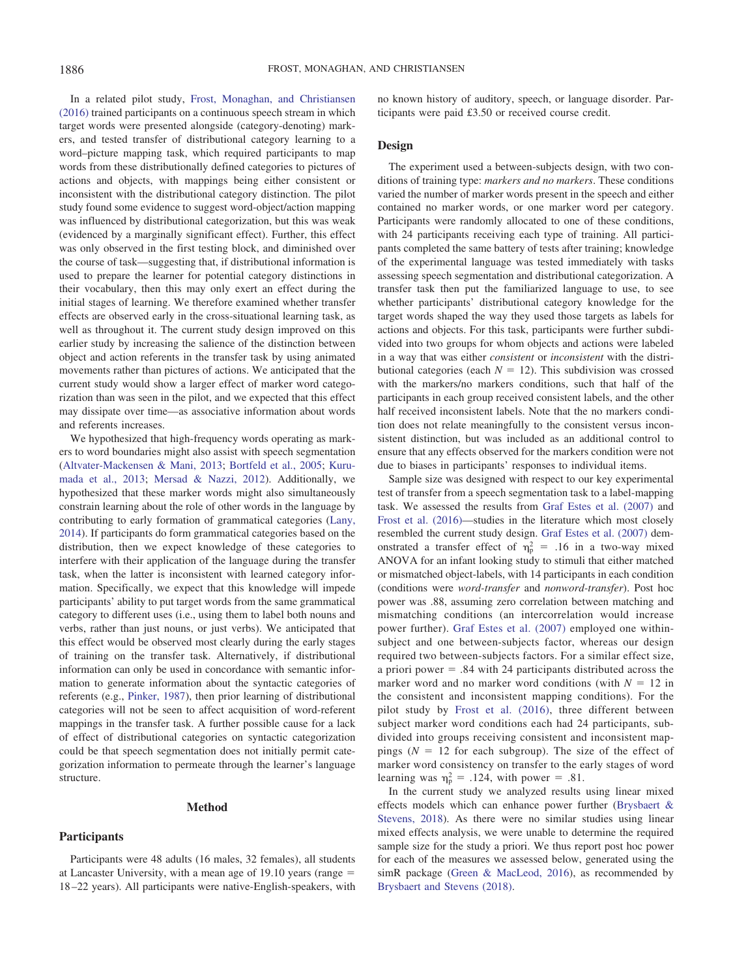In a related pilot study, [Frost, Monaghan, and Christiansen](#page-14-28) [\(2016\)](#page-14-28) trained participants on a continuous speech stream in which target words were presented alongside (category-denoting) markers, and tested transfer of distributional category learning to a word–picture mapping task, which required participants to map words from these distributionally defined categories to pictures of actions and objects, with mappings being either consistent or inconsistent with the distributional category distinction. The pilot study found some evidence to suggest word-object/action mapping was influenced by distributional categorization, but this was weak (evidenced by a marginally significant effect). Further, this effect was only observed in the first testing block, and diminished over the course of task—suggesting that, if distributional information is used to prepare the learner for potential category distinctions in their vocabulary, then this may only exert an effect during the initial stages of learning. We therefore examined whether transfer effects are observed early in the cross-situational learning task, as well as throughout it. The current study design improved on this earlier study by increasing the salience of the distinction between object and action referents in the transfer task by using animated movements rather than pictures of actions. We anticipated that the current study would show a larger effect of marker word categorization than was seen in the pilot, and we expected that this effect may dissipate over time—as associative information about words and referents increases.

We hypothesized that high-frequency words operating as markers to word boundaries might also assist with speech segmentation [\(Altvater-Mackensen & Mani, 2013;](#page-13-3) [Bortfeld et al., 2005;](#page-13-1) [Kuru](#page-14-8)[mada et al., 2013;](#page-14-8) [Mersad & Nazzi, 2012\)](#page-15-12). Additionally, we hypothesized that these marker words might also simultaneously constrain learning about the role of other words in the language by contributing to early formation of grammatical categories [\(Lany,](#page-14-22) [2014\)](#page-14-22). If participants do form grammatical categories based on the distribution, then we expect knowledge of these categories to interfere with their application of the language during the transfer task, when the latter is inconsistent with learned category information. Specifically, we expect that this knowledge will impede participants' ability to put target words from the same grammatical category to different uses (i.e., using them to label both nouns and verbs, rather than just nouns, or just verbs). We anticipated that this effect would be observed most clearly during the early stages of training on the transfer task. Alternatively, if distributional information can only be used in concordance with semantic information to generate information about the syntactic categories of referents (e.g., [Pinker, 1987\)](#page-15-19), then prior learning of distributional categories will not be seen to affect acquisition of word-referent mappings in the transfer task. A further possible cause for a lack of effect of distributional categories on syntactic categorization could be that speech segmentation does not initially permit categorization information to permeate through the learner's language structure.

#### **Method**

#### **Participants**

Participants were 48 adults (16 males, 32 females), all students at Lancaster University, with a mean age of 19.10 years (range = 18 –22 years). All participants were native-English-speakers, with no known history of auditory, speech, or language disorder. Participants were paid £3.50 or received course credit.

## **Design**

The experiment used a between-subjects design, with two conditions of training type: *markers and no markers*. These conditions varied the number of marker words present in the speech and either contained no marker words, or one marker word per category. Participants were randomly allocated to one of these conditions, with 24 participants receiving each type of training. All participants completed the same battery of tests after training; knowledge of the experimental language was tested immediately with tasks assessing speech segmentation and distributional categorization. A transfer task then put the familiarized language to use, to see whether participants' distributional category knowledge for the target words shaped the way they used those targets as labels for actions and objects. For this task, participants were further subdivided into two groups for whom objects and actions were labeled in a way that was either *consistent* or *inconsistent* with the distributional categories (each  $N = 12$ ). This subdivision was crossed with the markers/no markers conditions, such that half of the participants in each group received consistent labels, and the other half received inconsistent labels. Note that the no markers condition does not relate meaningfully to the consistent versus inconsistent distinction, but was included as an additional control to ensure that any effects observed for the markers condition were not due to biases in participants' responses to individual items.

Sample size was designed with respect to our key experimental test of transfer from a speech segmentation task to a label-mapping task. We assessed the results from [Graf Estes et al. \(2007\)](#page-14-16) and [Frost et al. \(2016\)—](#page-14-7)studies in the literature which most closely resembled the current study design. [Graf Estes et al. \(2007\)](#page-14-16) demonstrated a transfer effect of  $\eta_p^2 = .16$  in a two-way mixed ANOVA for an infant looking study to stimuli that either matched or mismatched object-labels, with 14 participants in each condition (conditions were *word-transfer* and *nonword-transfer*). Post hoc power was .88, assuming zero correlation between matching and mismatching conditions (an intercorrelation would increase power further). [Graf Estes et al. \(2007\)](#page-14-16) employed one withinsubject and one between-subjects factor, whereas our design required two between-subjects factors. For a similar effect size, a priori power  $=$  .84 with 24 participants distributed across the marker word and no marker word conditions (with  $N = 12$  in the consistent and inconsistent mapping conditions). For the pilot study by [Frost et al. \(2016\),](#page-14-7) three different between subject marker word conditions each had 24 participants, subdivided into groups receiving consistent and inconsistent mappings  $(N = 12$  for each subgroup). The size of the effect of marker word consistency on transfer to the early stages of word learning was  $\eta_p^2 = .124$ , with power = .81.

In the current study we analyzed results using linear mixed effects models which can enhance power further [\(Brysbaert &](#page-14-29) [Stevens, 2018\)](#page-14-29). As there were no similar studies using linear mixed effects analysis, we were unable to determine the required sample size for the study a priori. We thus report post hoc power for each of the measures we assessed below, generated using the simR package [\(Green & MacLeod, 2016\)](#page-14-30), as recommended by [Brysbaert and Stevens \(2018\).](#page-14-29)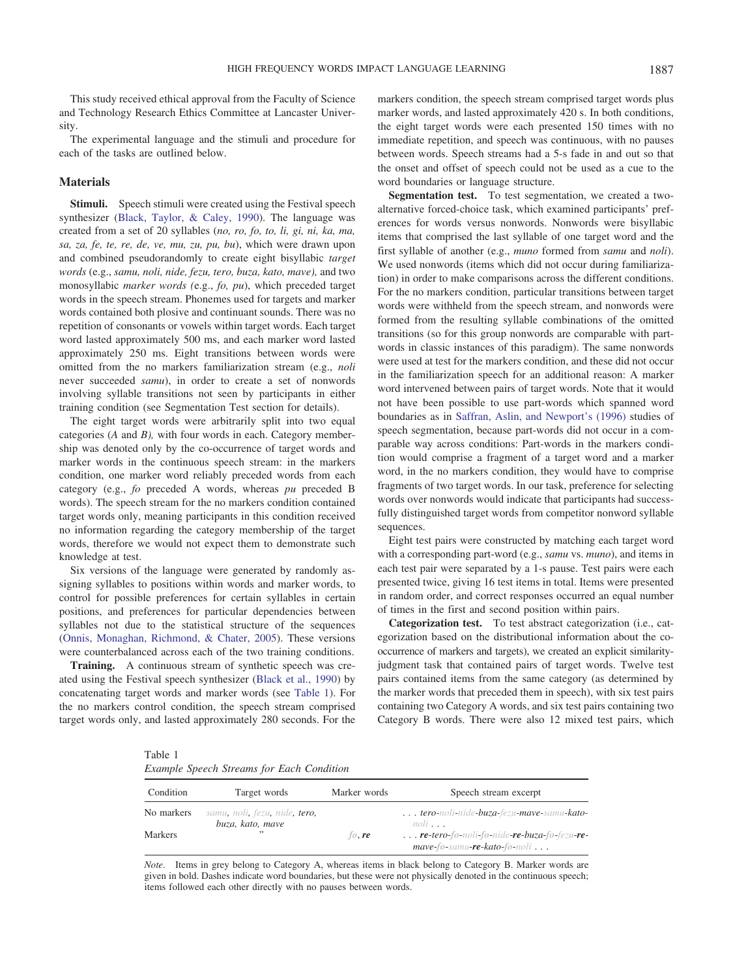This study received ethical approval from the Faculty of Science and Technology Research Ethics Committee at Lancaster University.

The experimental language and the stimuli and procedure for each of the tasks are outlined below.

## **Materials**

**Stimuli.** Speech stimuli were created using the Festival speech synthesizer [\(Black, Taylor, & Caley, 1990\)](#page-13-6). The language was created from a set of 20 syllables (*no, ro, fo, to, li, gi, ni, ka, ma, sa, za, fe, te, re, de, ve, mu, zu, pu, bu*), which were drawn upon and combined pseudorandomly to create eight bisyllabic *target words* (e.g., *samu, noli, nide, fezu, tero, buza, kato, mave),* and two monosyllabic *marker words (*e.g., *fo, pu*), which preceded target words in the speech stream. Phonemes used for targets and marker words contained both plosive and continuant sounds. There was no repetition of consonants or vowels within target words. Each target word lasted approximately 500 ms, and each marker word lasted approximately 250 ms. Eight transitions between words were omitted from the no markers familiarization stream (e.g., *noli* never succeeded *samu*), in order to create a set of nonwords involving syllable transitions not seen by participants in either training condition (see Segmentation Test section for details).

The eight target words were arbitrarily split into two equal categories (*A* and *B),* with four words in each. Category membership was denoted only by the co-occurrence of target words and marker words in the continuous speech stream: in the markers condition, one marker word reliably preceded words from each category (e.g., *fo* preceded A words, whereas *pu* preceded B words). The speech stream for the no markers condition contained target words only, meaning participants in this condition received no information regarding the category membership of the target words, therefore we would not expect them to demonstrate such knowledge at test.

Six versions of the language were generated by randomly assigning syllables to positions within words and marker words, to control for possible preferences for certain syllables in certain positions, and preferences for particular dependencies between syllables not due to the statistical structure of the sequences [\(Onnis, Monaghan, Richmond, & Chater, 2005\)](#page-15-30). These versions were counterbalanced across each of the two training conditions.

**Training.** A continuous stream of synthetic speech was created using the Festival speech synthesizer [\(Black et al., 1990\)](#page-13-6) by concatenating target words and marker words (see [Table 1\)](#page-4-0). For the no markers control condition, the speech stream comprised target words only, and lasted approximately 280 seconds. For the

markers condition, the speech stream comprised target words plus marker words, and lasted approximately 420 s. In both conditions, the eight target words were each presented 150 times with no immediate repetition, and speech was continuous, with no pauses between words. Speech streams had a 5-s fade in and out so that the onset and offset of speech could not be used as a cue to the word boundaries or language structure.

**Segmentation test.** To test segmentation, we created a twoalternative forced-choice task, which examined participants' preferences for words versus nonwords. Nonwords were bisyllabic items that comprised the last syllable of one target word and the first syllable of another (e.g., *muno* formed from *samu* and *noli*). We used nonwords (items which did not occur during familiarization) in order to make comparisons across the different conditions. For the no markers condition, particular transitions between target words were withheld from the speech stream, and nonwords were formed from the resulting syllable combinations of the omitted transitions (so for this group nonwords are comparable with partwords in classic instances of this paradigm). The same nonwords were used at test for the markers condition, and these did not occur in the familiarization speech for an additional reason: A marker word intervened between pairs of target words. Note that it would not have been possible to use part-words which spanned word boundaries as in [Saffran, Aslin, and Newport's \(1996\)](#page-15-1) studies of speech segmentation, because part-words did not occur in a comparable way across conditions: Part-words in the markers condition would comprise a fragment of a target word and a marker word, in the no markers condition, they would have to comprise fragments of two target words. In our task, preference for selecting words over nonwords would indicate that participants had successfully distinguished target words from competitor nonword syllable sequences.

Eight test pairs were constructed by matching each target word with a corresponding part-word (e.g., *samu* vs. *muno*), and items in each test pair were separated by a 1-s pause. Test pairs were each presented twice, giving 16 test items in total. Items were presented in random order, and correct responses occurred an equal number of times in the first and second position within pairs.

**Categorization test.** To test abstract categorization (i.e., categorization based on the distributional information about the cooccurrence of markers and targets), we created an explicit similarityjudgment task that contained pairs of target words. Twelve test pairs contained items from the same category (as determined by the marker words that preceded them in speech), with six test pairs containing two Category A words, and six test pairs containing two Category B words. There were also 12 mixed test pairs, which

<span id="page-4-0"></span>Table 1

|  |  |  |  |  | Example Speech Streams for Each Condition |
|--|--|--|--|--|-------------------------------------------|
|--|--|--|--|--|-------------------------------------------|

| Condition  | Target words                                      | Marker words | Speech stream excerpt                                                                   |
|------------|---------------------------------------------------|--------------|-----------------------------------------------------------------------------------------|
| No markers | samu, noli, fezu, nide, tero,<br>buza, kato, mave |              | tero-noli-nide-buza-fezu-mave-samu-kato-<br>$noli$                                      |
| Markers    | ,,                                                | $f_0$ , re   | $\ldots$ re-tero-fo-noli-fo-nide-re-buza-fo-fezu-re-<br>$mave$ -fo-samu-re-kato-fo-noli |

*Note*. Items in grey belong to Category A, whereas items in black belong to Category B. Marker words are given in bold. Dashes indicate word boundaries, but these were not physically denoted in the continuous speech; items followed each other directly with no pauses between words.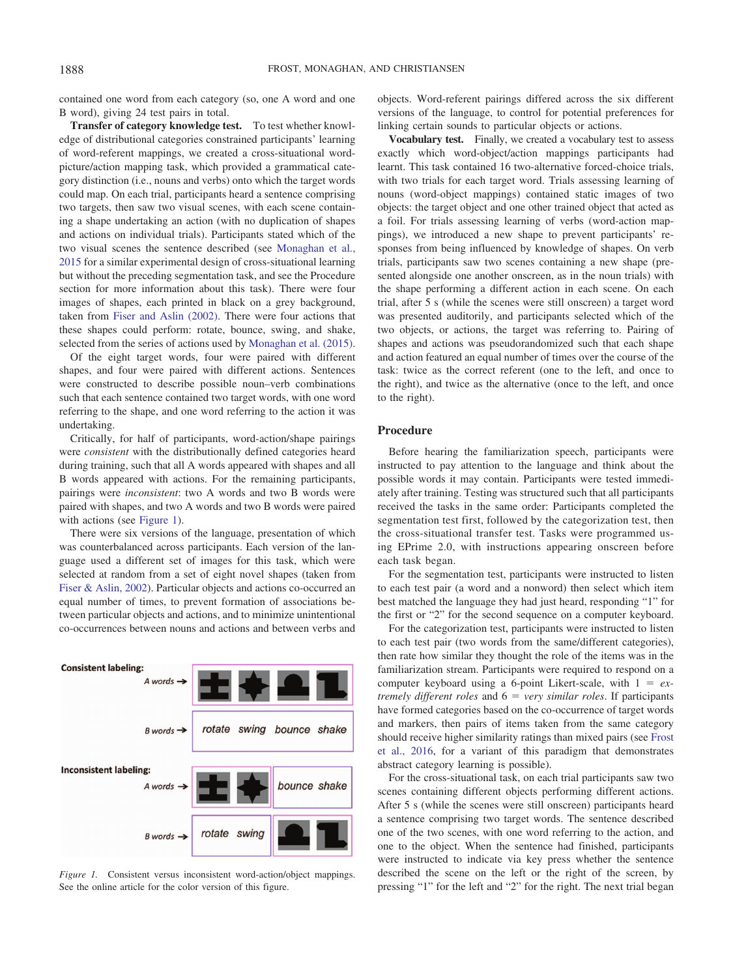contained one word from each category (so, one A word and one B word), giving 24 test pairs in total.

**Transfer of category knowledge test.** To test whether knowledge of distributional categories constrained participants' learning of word-referent mappings, we created a cross-situational wordpicture/action mapping task, which provided a grammatical category distinction (i.e., nouns and verbs) onto which the target words could map. On each trial, participants heard a sentence comprising two targets, then saw two visual scenes, with each scene containing a shape undertaking an action (with no duplication of shapes and actions on individual trials). Participants stated which of the two visual scenes the sentence described (see [Monaghan et al.,](#page-15-27) [2015](#page-15-27) for a similar experimental design of cross-situational learning but without the preceding segmentation task, and see the Procedure section for more information about this task). There were four images of shapes, each printed in black on a grey background, taken from [Fiser and Aslin \(2002\).](#page-14-31) There were four actions that these shapes could perform: rotate, bounce, swing, and shake, selected from the series of actions used by [Monaghan et al. \(2015\).](#page-15-27)

Of the eight target words, four were paired with different shapes, and four were paired with different actions. Sentences were constructed to describe possible noun–verb combinations such that each sentence contained two target words, with one word referring to the shape, and one word referring to the action it was undertaking.

Critically, for half of participants, word-action/shape pairings were *consistent* with the distributionally defined categories heard during training, such that all A words appeared with shapes and all B words appeared with actions. For the remaining participants, pairings were *inconsistent*: two A words and two B words were paired with shapes, and two A words and two B words were paired with actions (see [Figure 1\)](#page-5-0).

There were six versions of the language, presentation of which was counterbalanced across participants. Each version of the language used a different set of images for this task, which were selected at random from a set of eight novel shapes (taken from [Fiser & Aslin, 2002\)](#page-14-31). Particular objects and actions co-occurred an equal number of times, to prevent formation of associations between particular objects and actions, and to minimize unintentional co-occurrences between nouns and actions and between verbs and



<span id="page-5-0"></span>*Figure 1.* Consistent versus inconsistent word-action/object mappings. See the online article for the color version of this figure.

objects. Word-referent pairings differed across the six different versions of the language, to control for potential preferences for linking certain sounds to particular objects or actions.

**Vocabulary test.** Finally, we created a vocabulary test to assess exactly which word-object/action mappings participants had learnt. This task contained 16 two-alternative forced-choice trials, with two trials for each target word. Trials assessing learning of nouns (word-object mappings) contained static images of two objects: the target object and one other trained object that acted as a foil. For trials assessing learning of verbs (word-action mappings), we introduced a new shape to prevent participants' responses from being influenced by knowledge of shapes. On verb trials, participants saw two scenes containing a new shape (presented alongside one another onscreen, as in the noun trials) with the shape performing a different action in each scene. On each trial, after 5 s (while the scenes were still onscreen) a target word was presented auditorily, and participants selected which of the two objects, or actions, the target was referring to. Pairing of shapes and actions was pseudorandomized such that each shape and action featured an equal number of times over the course of the task: twice as the correct referent (one to the left, and once to the right), and twice as the alternative (once to the left, and once to the right).

## **Procedure**

Before hearing the familiarization speech, participants were instructed to pay attention to the language and think about the possible words it may contain. Participants were tested immediately after training. Testing was structured such that all participants received the tasks in the same order: Participants completed the segmentation test first, followed by the categorization test, then the cross-situational transfer test. Tasks were programmed using EPrime 2.0, with instructions appearing onscreen before each task began.

For the segmentation test, participants were instructed to listen to each test pair (a word and a nonword) then select which item best matched the language they had just heard, responding "1" for the first or "2" for the second sequence on a computer keyboard.

For the categorization test, participants were instructed to listen to each test pair (two words from the same/different categories), then rate how similar they thought the role of the items was in the familiarization stream. Participants were required to respond on a computer keyboard using a 6-point Likert-scale, with  $1 = ex$ *tremely different roles* and  $6 = \text{very similar roles}$ . If participants have formed categories based on the co-occurrence of target words and markers, then pairs of items taken from the same category should receive higher similarity ratings than mixed pairs (see [Frost](#page-14-7) [et al., 2016,](#page-14-7) for a variant of this paradigm that demonstrates abstract category learning is possible).

For the cross-situational task, on each trial participants saw two scenes containing different objects performing different actions. After 5 s (while the scenes were still onscreen) participants heard a sentence comprising two target words. The sentence described one of the two scenes, with one word referring to the action, and one to the object. When the sentence had finished, participants were instructed to indicate via key press whether the sentence described the scene on the left or the right of the screen, by pressing "1" for the left and "2" for the right. The next trial began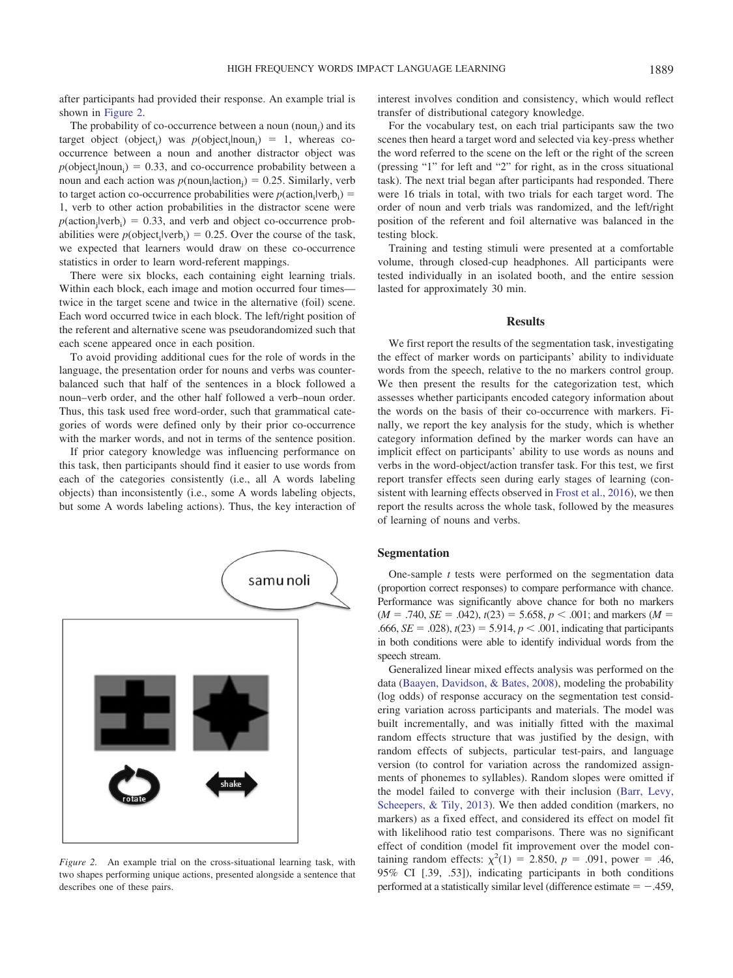after participants had provided their response. An example trial is shown in [Figure 2.](#page-6-0)

The probability of co-occurrence between a noun (noun*<sup>i</sup>* ) and its target object (object<sub>i</sub>) was  $p(\text{object}_i | \text{noun}_i) = 1$ , whereas cooccurrence between a noun and another distractor object was  $p(\text{object}_j \mid \text{noun}_i) = 0.33$ , and co-occurrence probability between a noun and each action was  $p(\text{noun}_i | \text{action}_j) = 0.25$ . Similarly, verb to target action co-occurrence probabilities were  $p(\text{action}_i | \text{verb}_i)$  = 1, verb to other action probabilities in the distractor scene were  $p(\text{action}_j|\text{verb}_i) = 0.33$ , and verb and object co-occurrence probabilities were  $p(\text{object}_i | \text{verb}_i) = 0.25$ . Over the course of the task, we expected that learners would draw on these co-occurrence statistics in order to learn word-referent mappings.

There were six blocks, each containing eight learning trials. Within each block, each image and motion occurred four times twice in the target scene and twice in the alternative (foil) scene. Each word occurred twice in each block. The left/right position of the referent and alternative scene was pseudorandomized such that each scene appeared once in each position.

To avoid providing additional cues for the role of words in the language, the presentation order for nouns and verbs was counterbalanced such that half of the sentences in a block followed a noun–verb order, and the other half followed a verb–noun order. Thus, this task used free word-order, such that grammatical categories of words were defined only by their prior co-occurrence with the marker words, and not in terms of the sentence position.

If prior category knowledge was influencing performance on this task, then participants should find it easier to use words from each of the categories consistently (i.e., all A words labeling objects) than inconsistently (i.e., some A words labeling objects, but some A words labeling actions). Thus, the key interaction of



<span id="page-6-0"></span>*Figure 2.* An example trial on the cross-situational learning task, with two shapes performing unique actions, presented alongside a sentence that describes one of these pairs.

interest involves condition and consistency, which would reflect transfer of distributional category knowledge.

For the vocabulary test, on each trial participants saw the two scenes then heard a target word and selected via key-press whether the word referred to the scene on the left or the right of the screen (pressing "1" for left and "2" for right, as in the cross situational task). The next trial began after participants had responded. There were 16 trials in total, with two trials for each target word. The order of noun and verb trials was randomized, and the left/right position of the referent and foil alternative was balanced in the testing block.

Training and testing stimuli were presented at a comfortable volume, through closed-cup headphones. All participants were tested individually in an isolated booth, and the entire session lasted for approximately 30 min.

## **Results**

We first report the results of the segmentation task, investigating the effect of marker words on participants' ability to individuate words from the speech, relative to the no markers control group. We then present the results for the categorization test, which assesses whether participants encoded category information about the words on the basis of their co-occurrence with markers. Finally, we report the key analysis for the study, which is whether category information defined by the marker words can have an implicit effect on participants' ability to use words as nouns and verbs in the word-object/action transfer task. For this test, we first report transfer effects seen during early stages of learning (consistent with learning effects observed in [Frost et al., 2016\)](#page-14-7), we then report the results across the whole task, followed by the measures of learning of nouns and verbs.

#### **Segmentation**

One-sample *t* tests were performed on the segmentation data (proportion correct responses) to compare performance with chance. Performance was significantly above chance for both no markers  $(M = .740, SE = .042), t(23) = 5.658, p < .001$ ; and markers  $(M = .740, SE = .042)$ .666, *SE* = .028),  $t(23) = 5.914$ ,  $p < .001$ , indicating that participants in both conditions were able to identify individual words from the speech stream.

Generalized linear mixed effects analysis was performed on the data [\(Baayen, Davidson, & Bates, 2008\)](#page-13-7), modeling the probability (log odds) of response accuracy on the segmentation test considering variation across participants and materials. The model was built incrementally, and was initially fitted with the maximal random effects structure that was justified by the design, with random effects of subjects, particular test-pairs, and language version (to control for variation across the randomized assignments of phonemes to syllables). Random slopes were omitted if the model failed to converge with their inclusion [\(Barr, Levy,](#page-13-8) [Scheepers, & Tily, 2013\)](#page-13-8). We then added condition (markers, no markers) as a fixed effect, and considered its effect on model fit with likelihood ratio test comparisons. There was no significant effect of condition (model fit improvement over the model containing random effects:  $\chi^2(1) = 2.850, p = .091, power = .46,$ 95% CI [.39, .53]), indicating participants in both conditions performed at a statistically similar level (difference estimate  $= -0.459$ ,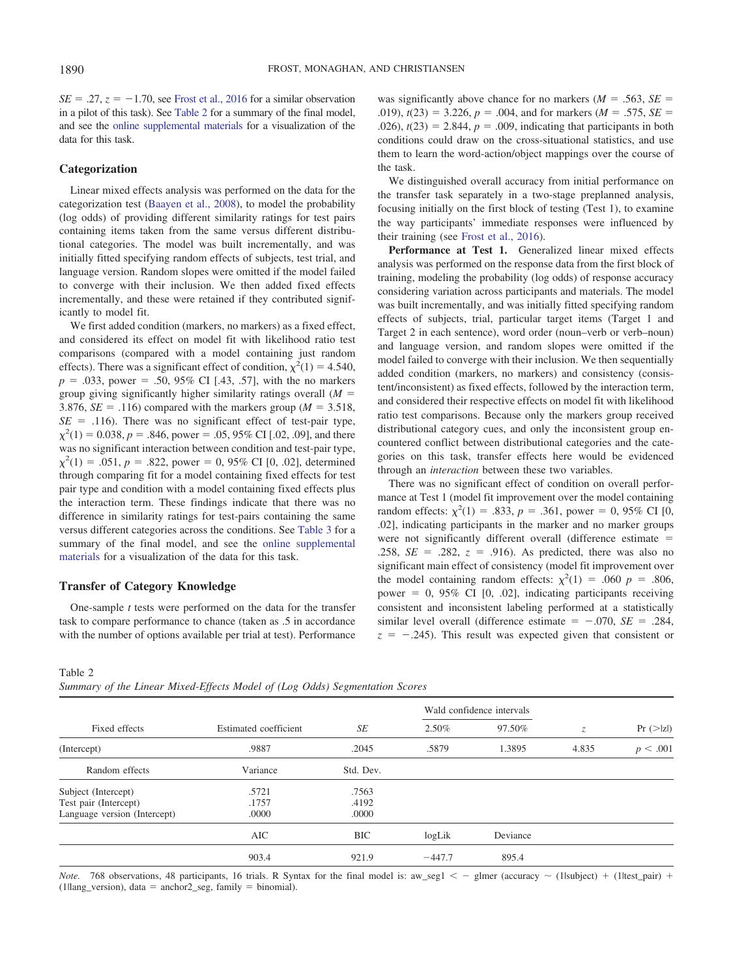$SE = .27$ ,  $z = -1.70$ , see [Frost et al., 2016](#page-14-7) for a similar observation in a pilot of this task). See [Table 2](#page-7-0) for a summary of the final model, and see the [online supplemental materials](http://dx.doi.org/10.1037/xlm0000683.supp) for a visualization of the data for this task.

## **Categorization**

Linear mixed effects analysis was performed on the data for the categorization test [\(Baayen et al., 2008\)](#page-13-7), to model the probability (log odds) of providing different similarity ratings for test pairs containing items taken from the same versus different distributional categories. The model was built incrementally, and was initially fitted specifying random effects of subjects, test trial, and language version. Random slopes were omitted if the model failed to converge with their inclusion. We then added fixed effects incrementally, and these were retained if they contributed significantly to model fit.

We first added condition (markers, no markers) as a fixed effect, and considered its effect on model fit with likelihood ratio test comparisons (compared with a model containing just random effects). There was a significant effect of condition,  $\chi^2(1) = 4.540$ ,  $p = .033$ , power = .50, 95% CI [.43, .57], with the no markers group giving significantly higher similarity ratings overall  $(M =$ 3.876,  $SE = .116$ ) compared with the markers group ( $M = 3.518$ ,  $SE = .116$ ). There was no significant effect of test-pair type,  $\chi^2(1) = 0.038$ ,  $p = .846$ , power = .05, 95% CI [.02, .09], and there was no significant interaction between condition and test-pair type,  $\chi^2(1) = .051, p = .822, power = 0, 95\% \text{ CI} [0, .02], determined$ through comparing fit for a model containing fixed effects for test pair type and condition with a model containing fixed effects plus the interaction term. These findings indicate that there was no difference in similarity ratings for test-pairs containing the same versus different categories across the conditions. See [Table 3](#page-8-0) for a summary of the final model, and see the [online supplemental](http://dx.doi.org/10.1037/xlm0000683.supp) [materials](http://dx.doi.org/10.1037/xlm0000683.supp) for a visualization of the data for this task.

#### **Transfer of Category Knowledge**

One-sample *t* tests were performed on the data for the transfer task to compare performance to chance (taken as .5 in accordance with the number of options available per trial at test). Performance

was significantly above chance for no markers  $(M = .563, SE =$ .019),  $t(23) = 3.226$ ,  $p = .004$ , and for markers ( $M = .575$ ,  $SE =$ .026),  $t(23) = 2.844$ ,  $p = .009$ , indicating that participants in both conditions could draw on the cross-situational statistics, and use them to learn the word-action/object mappings over the course of the task.

We distinguished overall accuracy from initial performance on the transfer task separately in a two-stage preplanned analysis, focusing initially on the first block of testing (Test 1), to examine the way participants' immediate responses were influenced by their training (see [Frost et al., 2016\)](#page-14-7).

**Performance at Test 1.** Generalized linear mixed effects analysis was performed on the response data from the first block of training, modeling the probability (log odds) of response accuracy considering variation across participants and materials. The model was built incrementally, and was initially fitted specifying random effects of subjects, trial, particular target items (Target 1 and Target 2 in each sentence), word order (noun–verb or verb–noun) and language version, and random slopes were omitted if the model failed to converge with their inclusion. We then sequentially added condition (markers, no markers) and consistency (consistent/inconsistent) as fixed effects, followed by the interaction term, and considered their respective effects on model fit with likelihood ratio test comparisons. Because only the markers group received distributional category cues, and only the inconsistent group encountered conflict between distributional categories and the categories on this task, transfer effects here would be evidenced through an *interaction* between these two variables.

There was no significant effect of condition on overall performance at Test 1 (model fit improvement over the model containing random effects:  $\chi^2(1) = .833$ ,  $p = .361$ , power = 0, 95% CI [0, .02], indicating participants in the marker and no marker groups were not significantly different overall (difference estimate  $=$ .258,  $SE = .282$ ,  $z = .916$ ). As predicted, there was also no significant main effect of consistency (model fit improvement over the model containing random effects:  $\chi^2(1) = .060$  *p* = .806, power =  $0$ ,  $95\%$  CI [0, .02], indicating participants receiving consistent and inconsistent labeling performed at a statistically similar level overall (difference estimate  $= -0.070$ , *SE* = .284,  $z = -0.245$ . This result was expected given that consistent or

#### <span id="page-7-0"></span>Table 2

*Summary of the Linear Mixed-Effects Model of (Log Odds) Segmentation Scores*

|                              |                       |           | Wald confidence intervals |          |       |                       |
|------------------------------|-----------------------|-----------|---------------------------|----------|-------|-----------------------|
| Fixed effects                | Estimated coefficient | SE        | 2.50%                     | 97.50%   | Z.    | $Pr (>\vert z \vert)$ |
| (Intercept)                  | .9887                 | .2045     | .5879                     | 1.3895   | 4.835 | p < .001              |
| Random effects               | Variance              | Std. Dev. |                           |          |       |                       |
| Subject (Intercept)          | .5721                 | .7563     |                           |          |       |                       |
| Test pair (Intercept)        | .1757                 | .4192     |                           |          |       |                       |
| Language version (Intercept) | .0000                 | .0000     |                           |          |       |                       |
|                              | AIC                   | BIC       | logLik                    | Deviance |       |                       |
|                              | 903.4                 | 921.9     | $-447.7$                  | 895.4    |       |                       |

*Note.* 768 observations, 48 participants, 16 trials. R Syntax for the final model is:  $aw\_seg1 < -$  glmer (accuracy  $\sim$  (1lsubject) + (1ltest\_pair) +  $(1$ llang\_version), data = anchor2\_seg, family = binomial).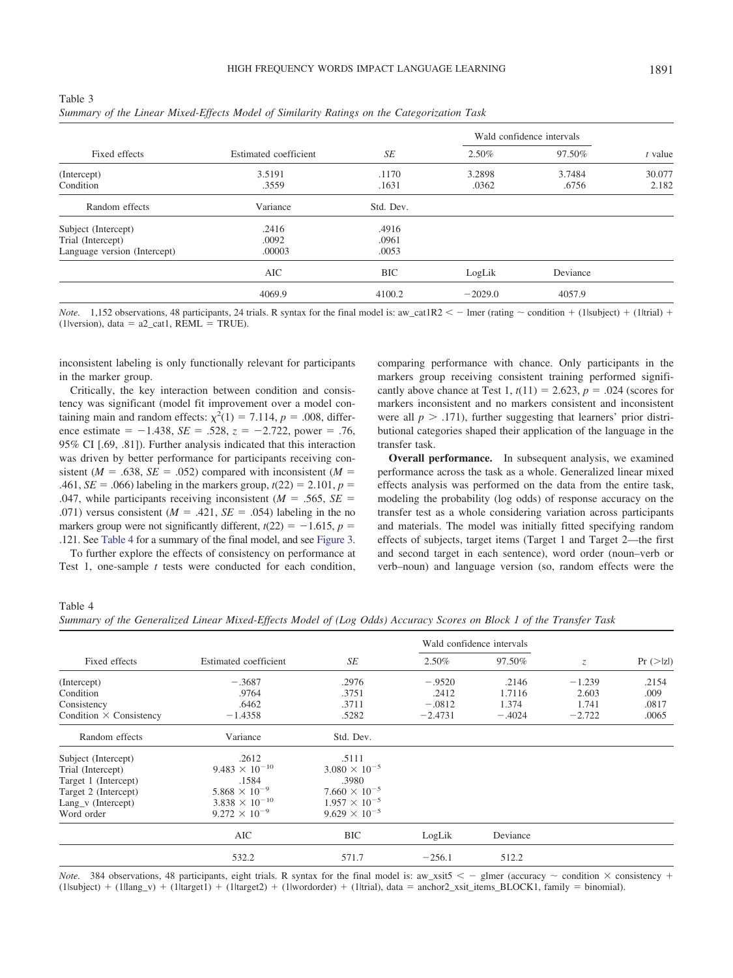<span id="page-8-0"></span>

| Table 3                                                                                    |  |
|--------------------------------------------------------------------------------------------|--|
| Summary of the Linear Mixed-Effects Model of Similarity Ratings on the Categorization Task |  |

|                              |                       |            |           | Wald confidence intervals |           |
|------------------------------|-----------------------|------------|-----------|---------------------------|-----------|
| Fixed effects                | Estimated coefficient | SE         | 2.50%     | 97.50%                    | $t$ value |
| (Intercept)                  | 3.5191                | .1170      | 3.2898    | 3.7484                    | 30.077    |
| Condition                    | .3559                 | .1631      | .0362     | .6756                     | 2.182     |
| Random effects               | Variance              | Std. Dev.  |           |                           |           |
| Subject (Intercept)          | .2416                 | .4916      |           |                           |           |
| Trial (Intercept)            | .0092                 | .0961      |           |                           |           |
| Language version (Intercept) | .00003                | .0053      |           |                           |           |
|                              | <b>AIC</b>            | <b>BIC</b> | LogLik    | Deviance                  |           |
|                              | 4069.9                | 4100.2     | $-2029.0$ | 4057.9                    |           |

*Note.* 1,152 observations, 48 participants, 24 trials. R syntax for the final model is: aw\_cat1R2  $\lt$  - lmer (rating  $\sim$  condition + (1|subject) + (1|trial) +  $(1|version)$ , data =  $a2_cat1$ , REML = TRUE).

inconsistent labeling is only functionally relevant for participants in the marker group.

Critically, the key interaction between condition and consistency was significant (model fit improvement over a model containing main and random effects:  $\chi^2(1) = 7.114$ ,  $p = .008$ , difference estimate  $= -1.438$ ,  $SE = .528$ ,  $z = -2.722$ , power  $= .76$ , 95% CI [.69, .81]). Further analysis indicated that this interaction was driven by better performance for participants receiving consistent ( $M = .638$ ,  $SE = .052$ ) compared with inconsistent ( $M =$ .461, *SE* = .066) labeling in the markers group,  $t(22) = 2.101$ ,  $p =$ .047, while participants receiving inconsistent ( $M = .565$ ,  $SE =$ .071) versus consistent ( $M = .421$ ,  $SE = .054$ ) labeling in the no markers group were not significantly different,  $t(22) = -1.615$ ,  $p =$ .121. See [Table 4](#page-8-1) for a summary of the final model, and see [Figure 3.](#page-9-0)

To further explore the effects of consistency on performance at Test 1, one-sample *t* tests were conducted for each condition,

comparing performance with chance. Only participants in the markers group receiving consistent training performed significantly above chance at Test 1,  $t(11) = 2.623$ ,  $p = .024$  (scores for markers inconsistent and no markers consistent and inconsistent were all  $p > .171$ ), further suggesting that learners' prior distributional categories shaped their application of the language in the transfer task.

**Overall performance.** In subsequent analysis, we examined performance across the task as a whole. Generalized linear mixed effects analysis was performed on the data from the entire task, modeling the probability (log odds) of response accuracy on the transfer test as a whole considering variation across participants and materials. The model was initially fitted specifying random effects of subjects, target items (Target 1 and Target 2—the first and second target in each sentence), word order (noun–verb or verb–noun) and language version (so, random effects were the

<span id="page-8-1"></span>Table 4

*Summary of the Generalized Linear Mixed-Effects Model of (Log Odds) Accuracy Scores on Block 1 of the Transfer Task*

|                                |                         |                        | Wald confidence intervals |          |               |                       |
|--------------------------------|-------------------------|------------------------|---------------------------|----------|---------------|-----------------------|
| Fixed effects                  | Estimated coefficient   | SE                     | 2.50%                     | 97.50%   | $\mathcal{Z}$ | $Pr (>\vert z \vert)$ |
| (Intercept)                    | $-.3687$                | .2976                  | $-.9520$                  | .2146    | $-1.239$      | .2154                 |
| Condition                      | .9764                   | .3751                  | .2412                     | 1.7116   | 2.603         | .009                  |
| Consistency                    | .6462                   | .3711                  | $-.0812$                  | 1.374    | 1.741         | .0817                 |
| Condition $\times$ Consistency | $-1.4358$               | .5282                  | $-2.4731$                 | $-.4024$ | $-2.722$      | .0065                 |
| Random effects                 | Variance                | Std. Dev.              |                           |          |               |                       |
| Subject (Intercept)            | .2612                   | .5111                  |                           |          |               |                       |
| Trial (Intercept)              | $9.483 \times 10^{-10}$ | $3.080 \times 10^{-5}$ |                           |          |               |                       |
| Target 1 (Intercept)           | .1584                   | .3980                  |                           |          |               |                       |
| Target 2 (Intercept)           | $5.868 \times 10^{-9}$  | $7.660 \times 10^{-5}$ |                           |          |               |                       |
| Lang_v (Intercept)             | $3.838 \times 10^{-10}$ | $1.957 \times 10^{-5}$ |                           |          |               |                       |
| Word order                     | $9.272 \times 10^{-9}$  | $9.629 \times 10^{-5}$ |                           |          |               |                       |
|                                | AIC                     | <b>BIC</b>             | LogLik                    | Deviance |               |                       |
|                                | 532.2                   | 571.7                  | $-256.1$                  | 512.2    |               |                       |

*Note.* 384 observations, 48 participants, eight trials. R syntax for the final model is: aw\_xsit5  $\lt$  - glmer (accuracy  $\sim$  condition  $\times$  consistency +  $(1$ lsubject) +  $(1$ llang\_v) +  $(1$ ltarget1) +  $(1$ ltarget2) +  $(1)$ lwordorder) +  $(1)$ ltrial), data = anchor2\_xsit\_items\_BLOCK1, family = binomial).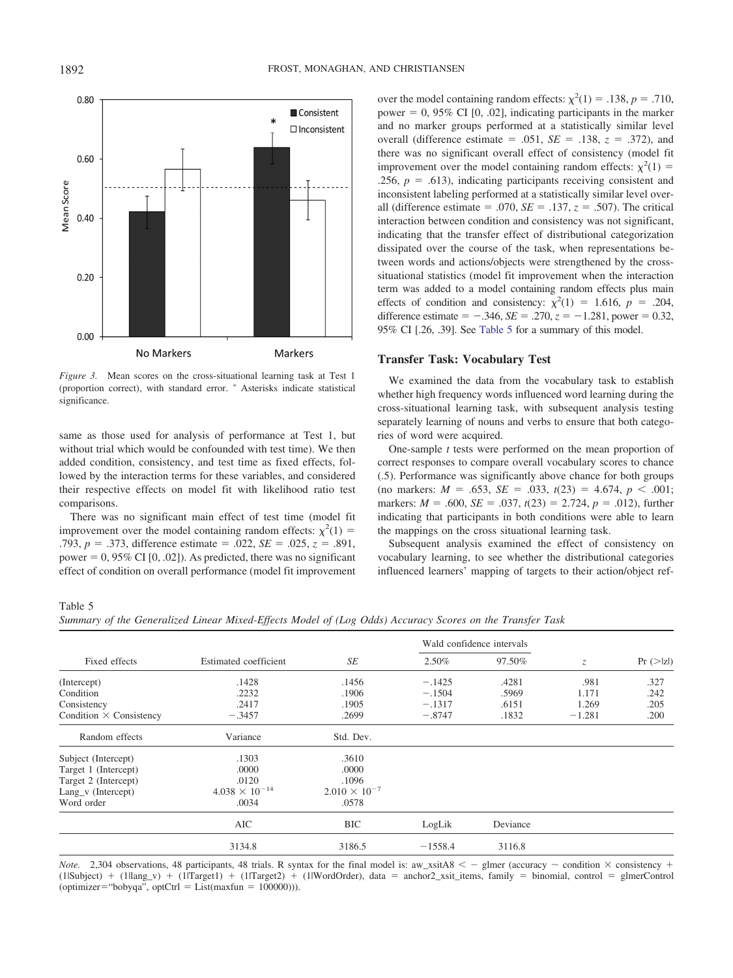

<span id="page-9-0"></span>*Figure 3.* Mean scores on the cross-situational learning task at Test 1 (proportion correct), with standard error. \* Asterisks indicate statistical significance.

same as those used for analysis of performance at Test 1, but without trial which would be confounded with test time). We then added condition, consistency, and test time as fixed effects, followed by the interaction terms for these variables, and considered their respective effects on model fit with likelihood ratio test comparisons.

There was no significant main effect of test time (model fit improvement over the model containing random effects:  $\chi^2(1)$  = .793,  $p = .373$ , difference estimate = .022,  $SE = .025$ ,  $z = .891$ , power =  $0,95\%$  CI [0, .02]). As predicted, there was no significant effect of condition on overall performance (model fit improvement

over the model containing random effects:  $\chi^2(1) = .138$ ,  $p = .710$ , power  $= 0$ , 95% CI [0, .02], indicating participants in the marker and no marker groups performed at a statistically similar level overall (difference estimate = .051,  $SE = .138$ ,  $z = .372$ ), and there was no significant overall effect of consistency (model fit improvement over the model containing random effects:  $\chi^2(1)$  = .256,  $p = .613$ ), indicating participants receiving consistent and inconsistent labeling performed at a statistically similar level overall (difference estimate  $= .070$ ,  $SE = .137$ ,  $z = .507$ ). The critical interaction between condition and consistency was not significant, indicating that the transfer effect of distributional categorization dissipated over the course of the task, when representations between words and actions/objects were strengthened by the crosssituational statistics (model fit improvement when the interaction term was added to a model containing random effects plus main effects of condition and consistency:  $\chi^2(1) = 1.616$ ,  $p = .204$ , difference estimate  $= -0.346$ , *SE* = .270,  $z = -1.281$ , power  $= 0.32$ , 95% CI [.26, .39]. See [Table 5](#page-9-1) for a summary of this model.

## **Transfer Task: Vocabulary Test**

We examined the data from the vocabulary task to establish whether high frequency words influenced word learning during the cross-situational learning task, with subsequent analysis testing separately learning of nouns and verbs to ensure that both categories of word were acquired.

One-sample *t* tests were performed on the mean proportion of correct responses to compare overall vocabulary scores to chance (.5). Performance was significantly above chance for both groups  $p = 0.653$ ,  $SE = 0.033$ ,  $t(23) = 4.674$ ,  $p < 0.001$ ; markers:  $M = .600$ ,  $SE = .037$ ,  $t(23) = 2.724$ ,  $p = .012$ ), further indicating that participants in both conditions were able to learn the mappings on the cross situational learning task.

Subsequent analysis examined the effect of consistency on vocabulary learning, to see whether the distributional categories influenced learners' mapping of targets to their action/object ref-

## <span id="page-9-1"></span>Table 5

*Summary of the Generalized Linear Mixed-Effects Model of (Log Odds) Accuracy Scores on the Transfer Task*

|                                |                         |                        | Wald confidence intervals |          |             |                       |
|--------------------------------|-------------------------|------------------------|---------------------------|----------|-------------|-----------------------|
| Fixed effects                  | Estimated coefficient   | <b>SE</b>              | 2.50%                     | 97.50%   | $Z_{\cdot}$ | $Pr (>\vert z \vert)$ |
| (Intercept)                    | .1428                   | .1456                  | $-.1425$                  | .4281    | .981        | .327                  |
| Condition                      | .2232                   | .1906                  | $-.1504$                  | .5969    | 1.171       | .242                  |
| Consistency                    | .2417                   | .1905                  | $-.1317$                  | .6151    | 1.269       | .205                  |
| Condition $\times$ Consistency | $-.3457$                | .2699                  | $-.8747$                  | .1832    | $-1.281$    | .200                  |
| Random effects                 | Variance                | Std. Dev.              |                           |          |             |                       |
| Subject (Intercept)            | .1303                   | .3610                  |                           |          |             |                       |
| Target 1 (Intercept)           | .0000                   | .0000                  |                           |          |             |                       |
| Target 2 (Intercept)           | .0120                   | .1096                  |                           |          |             |                       |
| Lang_v (Intercept)             | $4.038 \times 10^{-14}$ | $2.010 \times 10^{-7}$ |                           |          |             |                       |
| Word order                     | .0034                   | .0578                  |                           |          |             |                       |
|                                | AIC                     | <b>BIC</b>             | LogLik                    | Deviance |             |                       |
|                                | 3134.8                  | 3186.5                 | $-1558.4$                 | 3116.8   |             |                       |

*Note.* 2,304 observations, 48 participants, 48 trials. R syntax for the final model is:  $aw\_xsiA8 < -$  glmer (accuracy  $\sim$  condition  $\times$  consistency +  $(1|Subject) + (1|lang_v) + (1|Target1) + (1|Target2) + (1|WordOrder)$ , data = anchor2\_xsit\_items, family = binomial, control = glmerControl  $($ optimizer="bobyqa", optCtrl = List $(maxfun = 100000))$ .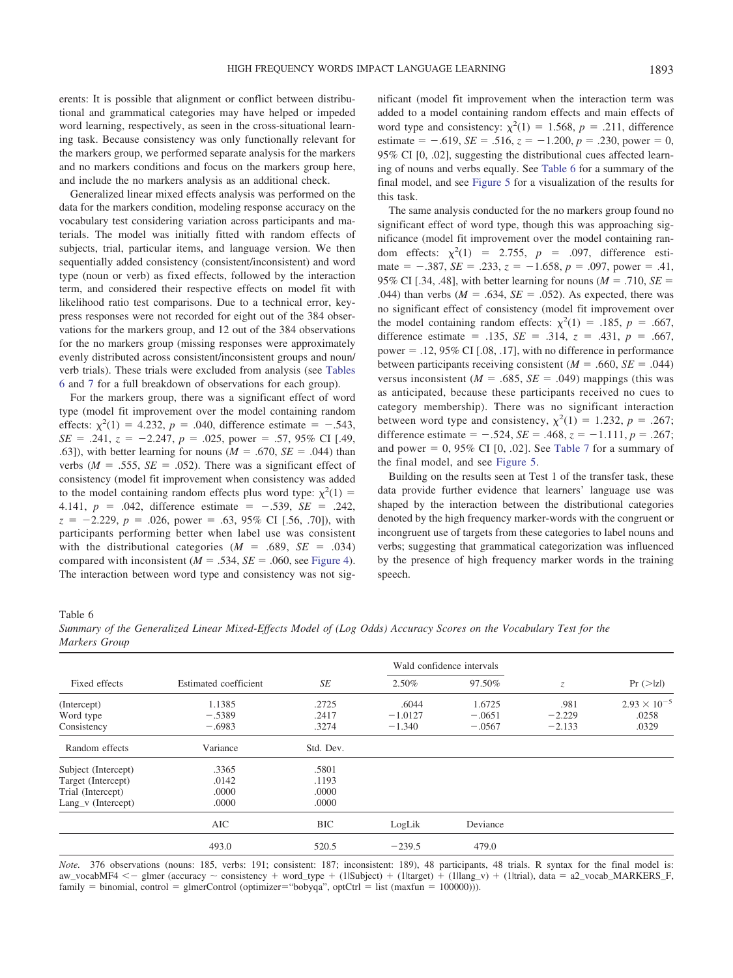erents: It is possible that alignment or conflict between distributional and grammatical categories may have helped or impeded word learning, respectively, as seen in the cross-situational learning task. Because consistency was only functionally relevant for the markers group, we performed separate analysis for the markers and no markers conditions and focus on the markers group here, and include the no markers analysis as an additional check.

Generalized linear mixed effects analysis was performed on the data for the markers condition, modeling response accuracy on the vocabulary test considering variation across participants and materials. The model was initially fitted with random effects of subjects, trial, particular items, and language version. We then sequentially added consistency (consistent/inconsistent) and word type (noun or verb) as fixed effects, followed by the interaction term, and considered their respective effects on model fit with likelihood ratio test comparisons. Due to a technical error, keypress responses were not recorded for eight out of the 384 observations for the markers group, and 12 out of the 384 observations for the no markers group (missing responses were approximately evenly distributed across consistent/inconsistent groups and noun/ verb trials). These trials were excluded from analysis (see [Tables](#page-10-0) [6](#page-10-0) and [7](#page-11-0) for a full breakdown of observations for each group).

For the markers group, there was a significant effect of word type (model fit improvement over the model containing random effects:  $\chi^2(1) = 4.232$ ,  $p = .040$ , difference estimate = -.543,  $SE = .241$ ,  $z = -2.247$ ,  $p = .025$ , power = .57, 95% CI [.49, .63]), with better learning for nouns  $(M = .670, SE = .044)$  than verbs  $(M = .555, SE = .052)$ . There was a significant effect of consistency (model fit improvement when consistency was added to the model containing random effects plus word type:  $\chi^2(1)$  = 4.141,  $p = .042$ , difference estimate  $= -.539$ ,  $SE = .242$ ,  $z = -2.229$ ,  $p = .026$ , power = .63, 95% CI [.56, .70]), with participants performing better when label use was consistent with the distributional categories  $(M = .689, SE = .034)$ compared with inconsistent  $(M = .534, SE = .060,$  see [Figure 4\)](#page-11-1). The interaction between word type and consistency was not significant (model fit improvement when the interaction term was added to a model containing random effects and main effects of word type and consistency:  $\chi^2(1) = 1.568$ ,  $p = .211$ , difference estimate  $= -0.619$ , *SE*  $= 0.516$ ,  $z = -1.200$ ,  $p = 0.230$ , power  $= 0$ , 95% CI [0, .02], suggesting the distributional cues affected learning of nouns and verbs equally. See [Table 6](#page-10-0) for a summary of the final model, and see [Figure 5](#page-12-0) for a visualization of the results for this task.

The same analysis conducted for the no markers group found no significant effect of word type, though this was approaching significance (model fit improvement over the model containing random effects:  $\chi^2(1) = 2.755$ ,  $p = .097$ , difference estimate  $=$  -.387, *SE* = .233,  $z = -1.658$ ,  $p = .097$ , power = .41, 95% CI [.34, .48], with better learning for nouns  $(M = .710, SE =$ .044) than verbs  $(M = .634, SE = .052)$ . As expected, there was no significant effect of consistency (model fit improvement over the model containing random effects:  $\chi^2(1) = .185$ ,  $p = .667$ , difference estimate = .135,  $SE = .314$ ,  $z = .431$ ,  $p = .667$ , power  $=$  .12, 95% CI [.08, .17], with no difference in performance between participants receiving consistent  $(M = .660, SE = .044)$ versus inconsistent ( $M = .685$ ,  $SE = .049$ ) mappings (this was as anticipated, because these participants received no cues to category membership). There was no significant interaction between word type and consistency,  $\chi^2(1) = 1.232$ ,  $p = .267$ ; difference estimate =  $-.524$ , *SE* = .468,  $z = -1.111$ ,  $p = .267$ ; and power  $= 0$ , 95% CI [0, .02]. See [Table 7](#page-11-0) for a summary of the final model, and see [Figure 5.](#page-12-0)

Building on the results seen at Test 1 of the transfer task, these data provide further evidence that learners' language use was shaped by the interaction between the distributional categories denoted by the high frequency marker-words with the congruent or incongruent use of targets from these categories to label nouns and verbs; suggesting that grammatical categorization was influenced by the presence of high frequency marker words in the training speech.

<span id="page-10-0"></span>Table 6

*Summary of the Generalized Linear Mixed-Effects Model of (Log Odds) Accuracy Scores on the Vocabulary Test for the Markers Group*

|                      |                       |            |           | Wald confidence intervals |             |                       |
|----------------------|-----------------------|------------|-----------|---------------------------|-------------|-----------------------|
| Fixed effects        | Estimated coefficient | SE         | 2.50%     | 97.50%                    | $Z_{\cdot}$ | $Pr (>\vert z \vert)$ |
| (Intercept)          | 1.1385                | .2725      | .6044     | 1.6725                    | .981        | $2.93 \times 10^{-5}$ |
| Word type            | $-.5389$              | .2417      | $-1.0127$ | $-.0651$                  | $-2.229$    | .0258                 |
| Consistency          | $-.6983$              | .3274      | $-1.340$  | $-.0567$                  | $-2.133$    | .0329                 |
| Random effects       | Variance              | Std. Dev.  |           |                           |             |                       |
| Subject (Intercept)  | .3365                 | .5801      |           |                           |             |                       |
| Target (Intercept)   | .0142                 | .1193      |           |                           |             |                       |
| Trial (Intercept)    | .0000                 | .0000      |           |                           |             |                       |
| $Lang_v$ (Intercept) | .0000                 | .0000      |           |                           |             |                       |
|                      | <b>AIC</b>            | <b>BIC</b> | LogLik    | Deviance                  |             |                       |
|                      | 493.0                 | 520.5      | $-239.5$  | 479.0                     |             |                       |

*Note.* 376 observations (nouns: 185, verbs: 191; consistent: 187; inconsistent: 189), 48 participants, 48 trials. R syntax for the final model is: aw\_vocabMF4 < – glmer (accuracy ~ consistency + word\_type + (1|Subject) + (1|target) + (1|lang\_v) + (1|trial), data = a2\_vocab\_MARKERS\_F,  $\text{family} = \text{binomial}, \text{control} = \text{gimerControl}$  (optimizer="bobyqa", optCtrl = list (maxfun = 100000))).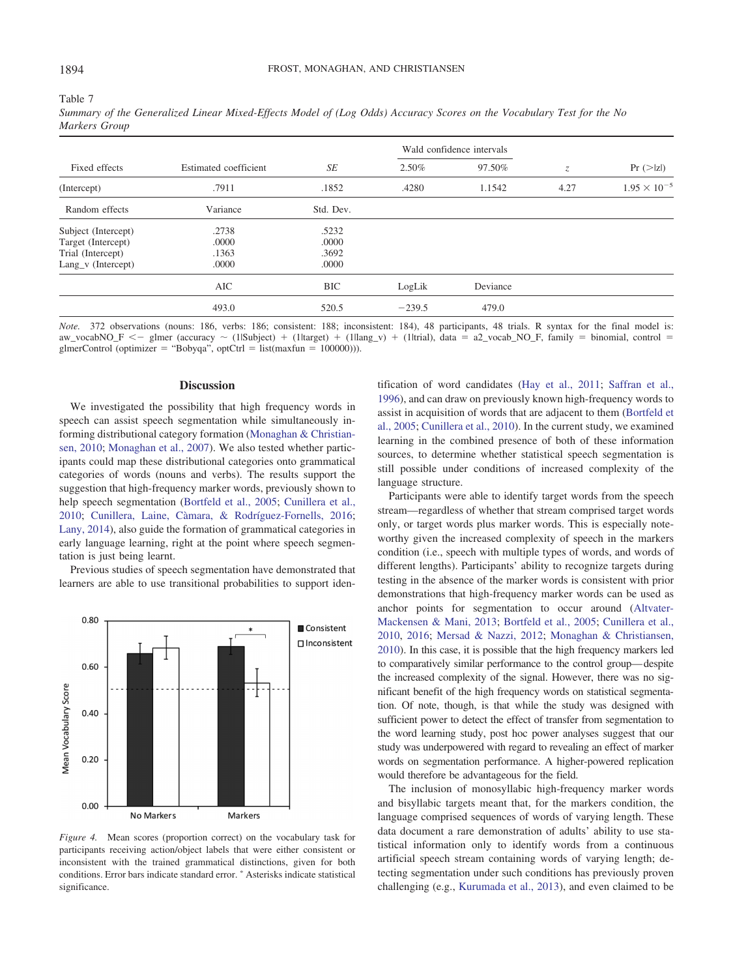<span id="page-11-0"></span>Table 7

|                     | Estimated coefficient | SE         |          | Wald confidence intervals |             |                       |
|---------------------|-----------------------|------------|----------|---------------------------|-------------|-----------------------|
| Fixed effects       |                       |            | 2.50%    | 97.50%                    | $Z_{\cdot}$ | $Pr (>\vert z \vert)$ |
| (Intercept)         | .7911                 | .1852      | .4280    | 1.1542                    | 4.27        | $1.95 \times 10^{-5}$ |
| Random effects      | Variance              | Std. Dev.  |          |                           |             |                       |
| Subject (Intercept) | .2738                 | .5232      |          |                           |             |                       |
| Target (Intercept)  | .0000                 | .0000      |          |                           |             |                       |
| Trial (Intercept)   | .1363                 | .3692      |          |                           |             |                       |
| Lang_v (Intercept)  | .0000                 | .0000      |          |                           |             |                       |
|                     | AIC                   | <b>BIC</b> | LogLik   | Deviance                  |             |                       |
|                     | 493.0                 | 520.5      | $-239.5$ | 479.0                     |             |                       |

*Summary of the Generalized Linear Mixed-Effects Model of (Log Odds) Accuracy Scores on the Vocabulary Test for the No Markers Group*

*Note.* 372 observations (nouns: 186, verbs: 186; consistent: 188; inconsistent: 184), 48 participants, 48 trials. R syntax for the final model is: aw\_vocabNO\_F <- glmer (accuracy  $\sim$  (1lSubject) + (1ltarget) + (1ltang\_v) + (1ltrial), data = a2\_vocab\_NO\_F, family = binomial, control =  $g$ lmerControl (optimizer = "Bobyqa", optCtrl = list(maxfun = 100000))).

## **Discussion**

We investigated the possibility that high frequency words in speech can assist speech segmentation while simultaneously informing distributional category formation [\(Monaghan & Christian](#page-15-15)[sen, 2010;](#page-15-15) [Monaghan et al., 2007\)](#page-15-0). We also tested whether participants could map these distributional categories onto grammatical categories of words (nouns and verbs). The results support the suggestion that high-frequency marker words, previously shown to help speech segmentation [\(Bortfeld et al., 2005;](#page-13-1) [Cunillera et al.,](#page-14-13) [2010;](#page-14-13) Cunillera, Laine, Càmara, & Rodríguez-Fornells, 2016; [Lany, 2014\)](#page-14-22), also guide the formation of grammatical categories in early language learning, right at the point where speech segmentation is just being learnt.

Previous studies of speech segmentation have demonstrated that learners are able to use transitional probabilities to support iden-



<span id="page-11-1"></span>*Figure 4.* Mean scores (proportion correct) on the vocabulary task for participants receiving action/object labels that were either consistent or inconsistent with the trained grammatical distinctions, given for both conditions. Error bars indicate standard error. \* Asterisks indicate statistical significance.

tification of word candidates [\(Hay et al., 2011;](#page-14-17) [Saffran et al.,](#page-15-1) [1996\)](#page-15-1), and can draw on previously known high-frequency words to assist in acquisition of words that are adjacent to them [\(Bortfeld et](#page-13-1) [al., 2005;](#page-13-1) [Cunillera et al., 2010\)](#page-14-13). In the current study, we examined learning in the combined presence of both of these information sources, to determine whether statistical speech segmentation is still possible under conditions of increased complexity of the language structure.

Participants were able to identify target words from the speech stream—regardless of whether that stream comprised target words only, or target words plus marker words. This is especially noteworthy given the increased complexity of speech in the markers condition (i.e., speech with multiple types of words, and words of different lengths). Participants' ability to recognize targets during testing in the absence of the marker words is consistent with prior demonstrations that high-frequency marker words can be used as anchor points for segmentation to occur around [\(Altvater-](#page-13-3)[Mackensen & Mani, 2013;](#page-13-3) [Bortfeld et al., 2005;](#page-13-1) [Cunillera et al.,](#page-14-13) [2010,](#page-14-13) [2016;](#page-14-32) [Mersad & Nazzi, 2012;](#page-15-12) [Monaghan & Christiansen,](#page-15-15) [2010\)](#page-15-15). In this case, it is possible that the high frequency markers led to comparatively similar performance to the control group— despite the increased complexity of the signal. However, there was no significant benefit of the high frequency words on statistical segmentation. Of note, though, is that while the study was designed with sufficient power to detect the effect of transfer from segmentation to the word learning study, post hoc power analyses suggest that our study was underpowered with regard to revealing an effect of marker words on segmentation performance. A higher-powered replication would therefore be advantageous for the field.

The inclusion of monosyllabic high-frequency marker words and bisyllabic targets meant that, for the markers condition, the language comprised sequences of words of varying length. These data document a rare demonstration of adults' ability to use statistical information only to identify words from a continuous artificial speech stream containing words of varying length; detecting segmentation under such conditions has previously proven challenging (e.g., [Kurumada et al., 2013\)](#page-14-8), and even claimed to be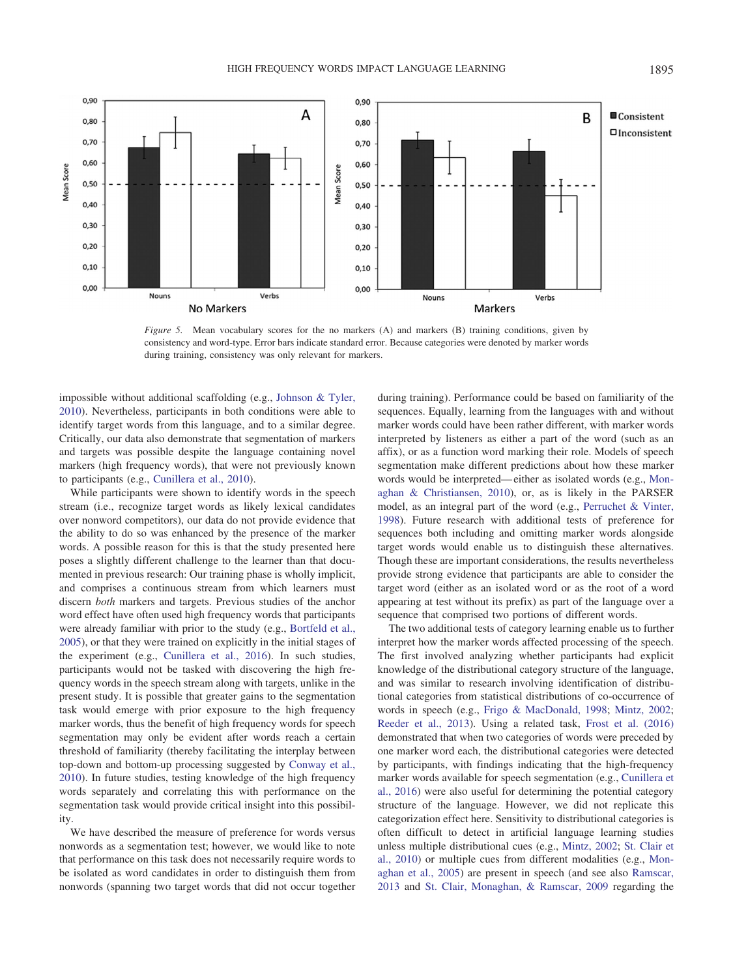

<span id="page-12-0"></span>*Figure 5.* Mean vocabulary scores for the no markers (A) and markers (B) training conditions, given by consistency and word-type. Error bars indicate standard error. Because categories were denoted by marker words during training, consistency was only relevant for markers.

impossible without additional scaffolding (e.g., [Johnson & Tyler,](#page-14-33) [2010\)](#page-14-33). Nevertheless, participants in both conditions were able to identify target words from this language, and to a similar degree. Critically, our data also demonstrate that segmentation of markers and targets was possible despite the language containing novel markers (high frequency words), that were not previously known to participants (e.g., [Cunillera et al., 2010\)](#page-14-13).

While participants were shown to identify words in the speech stream (i.e., recognize target words as likely lexical candidates over nonword competitors), our data do not provide evidence that the ability to do so was enhanced by the presence of the marker words. A possible reason for this is that the study presented here poses a slightly different challenge to the learner than that documented in previous research: Our training phase is wholly implicit, and comprises a continuous stream from which learners must discern *both* markers and targets. Previous studies of the anchor word effect have often used high frequency words that participants were already familiar with prior to the study (e.g., [Bortfeld et al.,](#page-13-1) [2005\)](#page-13-1), or that they were trained on explicitly in the initial stages of the experiment (e.g., [Cunillera et al., 2016\)](#page-14-32). In such studies, participants would not be tasked with discovering the high frequency words in the speech stream along with targets, unlike in the present study. It is possible that greater gains to the segmentation task would emerge with prior exposure to the high frequency marker words, thus the benefit of high frequency words for speech segmentation may only be evident after words reach a certain threshold of familiarity (thereby facilitating the interplay between top-down and bottom-up processing suggested by [Conway et al.,](#page-14-9) [2010\)](#page-14-9). In future studies, testing knowledge of the high frequency words separately and correlating this with performance on the segmentation task would provide critical insight into this possibility.

We have described the measure of preference for words versus nonwords as a segmentation test; however, we would like to note that performance on this task does not necessarily require words to be isolated as word candidates in order to distinguish them from nonwords (spanning two target words that did not occur together during training). Performance could be based on familiarity of the sequences. Equally, learning from the languages with and without marker words could have been rather different, with marker words interpreted by listeners as either a part of the word (such as an affix), or as a function word marking their role. Models of speech segmentation make different predictions about how these marker words would be interpreted— either as isolated words (e.g., [Mon](#page-15-15)[aghan & Christiansen, 2010\)](#page-15-15), or, as is likely in the PARSER model, as an integral part of the word (e.g., [Perruchet & Vinter,](#page-15-31) [1998\)](#page-15-31). Future research with additional tests of preference for sequences both including and omitting marker words alongside target words would enable us to distinguish these alternatives. Though these are important considerations, the results nevertheless provide strong evidence that participants are able to consider the target word (either as an isolated word or as the root of a word appearing at test without its prefix) as part of the language over a sequence that comprised two portions of different words.

The two additional tests of category learning enable us to further interpret how the marker words affected processing of the speech. The first involved analyzing whether participants had explicit knowledge of the distributional category structure of the language, and was similar to research involving identification of distributional categories from statistical distributions of co-occurrence of words in speech (e.g., [Frigo & MacDonald, 1998;](#page-14-19) [Mintz, 2002;](#page-15-21) [Reeder et al., 2013\)](#page-15-22). Using a related task, [Frost et al. \(2016\)](#page-14-7) demonstrated that when two categories of words were preceded by one marker word each, the distributional categories were detected by participants, with findings indicating that the high-frequency marker words available for speech segmentation (e.g., [Cunillera et](#page-14-32) [al., 2016\)](#page-14-32) were also useful for determining the potential category structure of the language. However, we did not replicate this categorization effect here. Sensitivity to distributional categories is often difficult to detect in artificial language learning studies unless multiple distributional cues (e.g., [Mintz, 2002;](#page-15-21) [St. Clair et](#page-15-18) [al., 2010\)](#page-15-18) or multiple cues from different modalities (e.g., [Mon](#page-15-11)[aghan et al., 2005\)](#page-15-11) are present in speech (and see also [Ramscar,](#page-15-32) [2013](#page-15-32) and [St. Clair, Monaghan, & Ramscar, 2009](#page-15-33) regarding the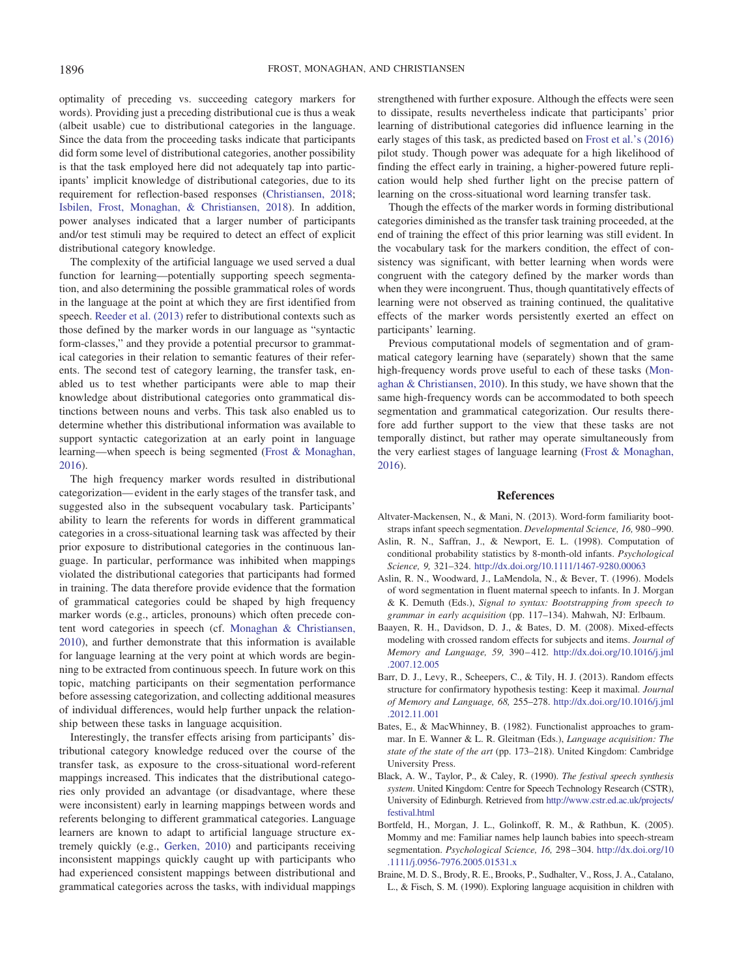optimality of preceding vs. succeeding category markers for words). Providing just a preceding distributional cue is thus a weak (albeit usable) cue to distributional categories in the language. Since the data from the proceeding tasks indicate that participants did form some level of distributional categories, another possibility is that the task employed here did not adequately tap into participants' implicit knowledge of distributional categories, due to its requirement for reflection-based responses [\(Christiansen, 2018;](#page-14-34) [Isbilen, Frost, Monaghan, & Christiansen, 2018\)](#page-14-35). In addition, power analyses indicated that a larger number of participants and/or test stimuli may be required to detect an effect of explicit distributional category knowledge.

The complexity of the artificial language we used served a dual function for learning—potentially supporting speech segmentation, and also determining the possible grammatical roles of words in the language at the point at which they are first identified from speech. [Reeder et al. \(2013\)](#page-15-22) refer to distributional contexts such as those defined by the marker words in our language as "syntactic form-classes," and they provide a potential precursor to grammatical categories in their relation to semantic features of their referents. The second test of category learning, the transfer task, enabled us to test whether participants were able to map their knowledge about distributional categories onto grammatical distinctions between nouns and verbs. This task also enabled us to determine whether this distributional information was available to support syntactic categorization at an early point in language learning—when speech is being segmented [\(Frost & Monaghan,](#page-14-7) [2016\)](#page-14-7).

The high frequency marker words resulted in distributional categorization— evident in the early stages of the transfer task, and suggested also in the subsequent vocabulary task. Participants' ability to learn the referents for words in different grammatical categories in a cross-situational learning task was affected by their prior exposure to distributional categories in the continuous language. In particular, performance was inhibited when mappings violated the distributional categories that participants had formed in training. The data therefore provide evidence that the formation of grammatical categories could be shaped by high frequency marker words (e.g., articles, pronouns) which often precede content word categories in speech (cf. [Monaghan & Christiansen,](#page-15-15) [2010\)](#page-15-15), and further demonstrate that this information is available for language learning at the very point at which words are beginning to be extracted from continuous speech. In future work on this topic, matching participants on their segmentation performance before assessing categorization, and collecting additional measures of individual differences, would help further unpack the relationship between these tasks in language acquisition.

Interestingly, the transfer effects arising from participants' distributional category knowledge reduced over the course of the transfer task, as exposure to the cross-situational word-referent mappings increased. This indicates that the distributional categories only provided an advantage (or disadvantage, where these were inconsistent) early in learning mappings between words and referents belonging to different grammatical categories. Language learners are known to adapt to artificial language structure extremely quickly (e.g., [Gerken, 2010\)](#page-14-2) and participants receiving inconsistent mappings quickly caught up with participants who had experienced consistent mappings between distributional and grammatical categories across the tasks, with individual mappings strengthened with further exposure. Although the effects were seen to dissipate, results nevertheless indicate that participants' prior learning of distributional categories did influence learning in the early stages of this task, as predicted based on [Frost et al.'s \(2016\)](#page-14-7) pilot study. Though power was adequate for a high likelihood of finding the effect early in training, a higher-powered future replication would help shed further light on the precise pattern of learning on the cross-situational word learning transfer task.

Though the effects of the marker words in forming distributional categories diminished as the transfer task training proceeded, at the end of training the effect of this prior learning was still evident. In the vocabulary task for the markers condition, the effect of consistency was significant, with better learning when words were congruent with the category defined by the marker words than when they were incongruent. Thus, though quantitatively effects of learning were not observed as training continued, the qualitative effects of the marker words persistently exerted an effect on participants' learning.

Previous computational models of segmentation and of grammatical category learning have (separately) shown that the same high-frequency words prove useful to each of these tasks [\(Mon](#page-15-15)[aghan & Christiansen, 2010\)](#page-15-15). In this study, we have shown that the same high-frequency words can be accommodated to both speech segmentation and grammatical categorization. Our results therefore add further support to the view that these tasks are not temporally distinct, but rather may operate simultaneously from the very earliest stages of language learning [\(Frost & Monaghan,](#page-14-7) [2016\)](#page-14-7).

## **References**

- <span id="page-13-3"></span>Altvater-Mackensen, N., & Mani, N. (2013). Word-form familiarity bootstraps infant speech segmentation. *Developmental Science, 16,* 980 –990.
- <span id="page-13-2"></span>Aslin, R. N., Saffran, J., & Newport, E. L. (1998). Computation of conditional probability statistics by 8-month-old infants. *Psychological Science, 9,* 321–324. <http://dx.doi.org/10.1111/1467-9280.00063>
- <span id="page-13-0"></span>Aslin, R. N., Woodward, J., LaMendola, N., & Bever, T. (1996). Models of word segmentation in fluent maternal speech to infants. In J. Morgan & K. Demuth (Eds.), *Signal to syntax: Bootstrapping from speech to grammar in early acquisition* (pp. 117–134). Mahwah, NJ: Erlbaum.
- <span id="page-13-7"></span>Baayen, R. H., Davidson, D. J., & Bates, D. M. (2008). Mixed-effects modeling with crossed random effects for subjects and items. *Journal of Memory and Language, 59,* 390 – 412. [http://dx.doi.org/10.1016/j.jml](http://dx.doi.org/10.1016/j.jml.2007.12.005) [.2007.12.005](http://dx.doi.org/10.1016/j.jml.2007.12.005)
- <span id="page-13-8"></span>Barr, D. J., Levy, R., Scheepers, C., & Tily, H. J. (2013). Random effects structure for confirmatory hypothesis testing: Keep it maximal. *Journal of Memory and Language, 68,* 255–278. [http://dx.doi.org/10.1016/j.jml](http://dx.doi.org/10.1016/j.jml.2012.11.001) [.2012.11.001](http://dx.doi.org/10.1016/j.jml.2012.11.001)
- <span id="page-13-4"></span>Bates, E., & MacWhinney, B. (1982). Functionalist approaches to grammar. In E. Wanner & L. R. Gleitman (Eds.), *Language acquisition: The state of the state of the art* (pp. 173–218). United Kingdom: Cambridge University Press.
- <span id="page-13-6"></span>Black, A. W., Taylor, P., & Caley, R. (1990). *The festival speech synthesis system*. United Kingdom: Centre for Speech Technology Research (CSTR), University of Edinburgh. Retrieved from [http://www.cstr.ed.ac.uk/projects/](http://www.cstr.ed.ac.uk/projects/festival.html) festival html
- <span id="page-13-1"></span>Bortfeld, H., Morgan, J. L., Golinkoff, R. M., & Rathbun, K. (2005). Mommy and me: Familiar names help launch babies into speech-stream segmentation. *Psychological Science, 16,* 298 –304. [http://dx.doi.org/10](http://dx.doi.org/10.1111/j.0956-7976.2005.01531.x) [.1111/j.0956-7976.2005.01531.x](http://dx.doi.org/10.1111/j.0956-7976.2005.01531.x)
- <span id="page-13-5"></span>Braine, M. D. S., Brody, R. E., Brooks, P., Sudhalter, V., Ross, J. A., Catalano, L., & Fisch, S. M. (1990). Exploring language acquisition in children with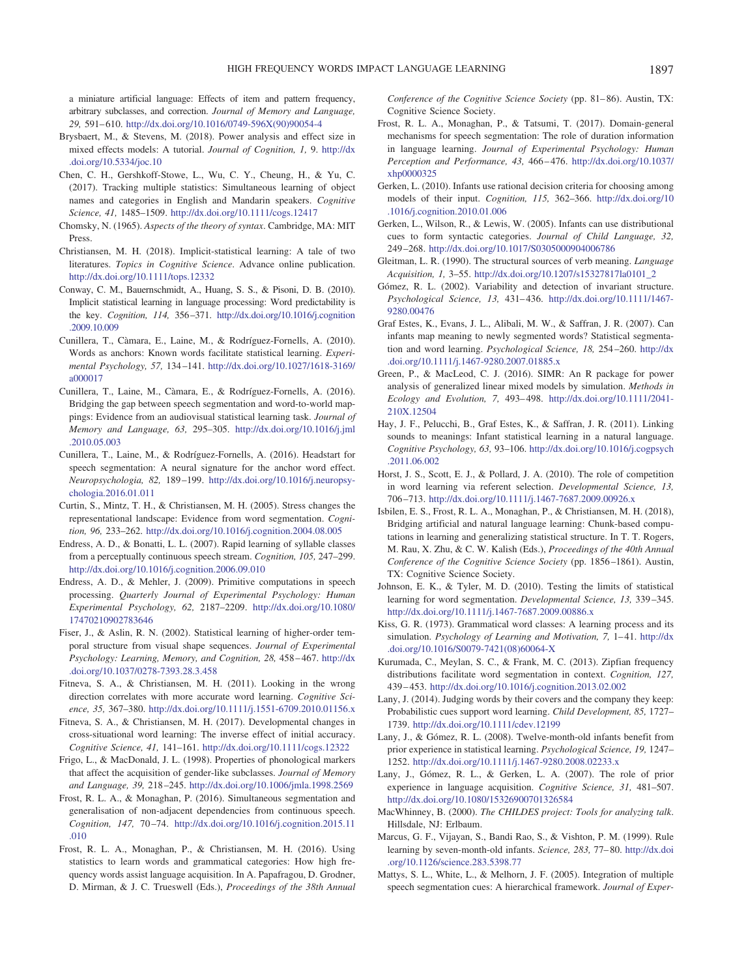a miniature artificial language: Effects of item and pattern frequency, arbitrary subclasses, and correction. *Journal of Memory and Language, 29,* 591– 610. [http://dx.doi.org/10.1016/0749-596X\(90\)90054-4](http://dx.doi.org/10.1016/0749-596X%2890%2990054-4)

- <span id="page-14-29"></span>Brysbaert, M., & Stevens, M. (2018). Power analysis and effect size in mixed effects models: A tutorial. *Journal of Cognition, 1,* 9. [http://dx](http://dx.doi.org/10.5334/joc.10) [.doi.org/10.5334/joc.10](http://dx.doi.org/10.5334/joc.10)
- <span id="page-14-27"></span>Chen, C. H., Gershkoff-Stowe, L., Wu, C. Y., Cheung, H., & Yu, C. (2017). Tracking multiple statistics: Simultaneous learning of object names and categories in English and Mandarin speakers. *Cognitive Science, 41,* 1485–1509. <http://dx.doi.org/10.1111/cogs.12417>
- <span id="page-14-18"></span>Chomsky, N. (1965). *Aspects of the theory of syntax*. Cambridge, MA: MIT Press.
- <span id="page-14-34"></span>Christiansen, M. H. (2018). Implicit-statistical learning: A tale of two literatures. *Topics in Cognitive Science*. Advance online publication. <http://dx.doi.org/10.1111/tops.12332>
- <span id="page-14-9"></span>Conway, C. M., Bauernschmidt, A., Huang, S. S., & Pisoni, D. B. (2010). Implicit statistical learning in language processing: Word predictability is the key. *Cognition, 114,* 356 –371. [http://dx.doi.org/10.1016/j.cognition](http://dx.doi.org/10.1016/j.cognition.2009.10.009) [.2009.10.009](http://dx.doi.org/10.1016/j.cognition.2009.10.009)
- <span id="page-14-13"></span>Cunillera, T., Càmara, E., Laine, M., & Rodríguez-Fornells, A. (2010). Words as anchors: Known words facilitate statistical learning. *Experimental Psychology, 57,* 134 –141. [http://dx.doi.org/10.1027/1618-3169/](http://dx.doi.org/10.1027/1618-3169/a000017) [a000017](http://dx.doi.org/10.1027/1618-3169/a000017)
- <span id="page-14-32"></span>Cunillera, T., Laine, M., Càmara, E., & Rodríguez-Fornells, A. (2016). Bridging the gap between speech segmentation and word-to-world mappings: Evidence from an audiovisual statistical learning task. *Journal of Memory and Language, 63,* 295–305. [http://dx.doi.org/10.1016/j.jml](http://dx.doi.org/10.1016/j.jml.2010.05.003) [.2010.05.003](http://dx.doi.org/10.1016/j.jml.2010.05.003)
- <span id="page-14-14"></span>Cunillera, T., Laine, M., & Rodríguez-Fornells, A. (2016). Headstart for speech segmentation: A neural signature for the anchor word effect. *Neuropsychologia, 82,* 189 –199. [http://dx.doi.org/10.1016/j.neuropsy](http://dx.doi.org/10.1016/j.neuropsychologia.2016.01.011)[chologia.2016.01.011](http://dx.doi.org/10.1016/j.neuropsychologia.2016.01.011)
- <span id="page-14-10"></span>Curtin, S., Mintz, T. H., & Christiansen, M. H. (2005). Stress changes the representational landscape: Evidence from word segmentation. *Cognition, 96,* 233–262. <http://dx.doi.org/10.1016/j.cognition.2004.08.005>
- <span id="page-14-0"></span>Endress, A. D., & Bonatti, L. L. (2007). Rapid learning of syllable classes from a perceptually continuous speech stream. *Cognition, 105,* 247–299. <http://dx.doi.org/10.1016/j.cognition.2006.09.010>
- <span id="page-14-1"></span>Endress, A. D., & Mehler, J. (2009). Primitive computations in speech processing. *Quarterly Journal of Experimental Psychology: Human Experimental Psychology, 62,* 2187–2209. [http://dx.doi.org/10.1080/](http://dx.doi.org/10.1080/17470210902783646) [17470210902783646](http://dx.doi.org/10.1080/17470210902783646)
- <span id="page-14-31"></span>Fiser, J., & Aslin, R. N. (2002). Statistical learning of higher-order temporal structure from visual shape sequences. *Journal of Experimental Psychology: Learning, Memory, and Cognition, 28,* 458 – 467. [http://dx](http://dx.doi.org/10.1037/0278-7393.28.3.458) [.doi.org/10.1037/0278-7393.28.3.458](http://dx.doi.org/10.1037/0278-7393.28.3.458)
- <span id="page-14-25"></span>Fitneva, S. A., & Christiansen, M. H. (2011). Looking in the wrong direction correlates with more accurate word learning. *Cognitive Science, 35,* 367–380. <http://dx.doi.org/10.1111/j.1551-6709.2010.01156.x>
- <span id="page-14-26"></span>Fitneva, S. A., & Christiansen, M. H. (2017). Developmental changes in cross-situational word learning: The inverse effect of initial accuracy. *Cognitive Science, 41,* 141–161. <http://dx.doi.org/10.1111/cogs.12322>
- <span id="page-14-19"></span>Frigo, L., & MacDonald, J. L. (1998). Properties of phonological markers that affect the acquisition of gender-like subclasses. *Journal of Memory and Language, 39,* 218 –245. <http://dx.doi.org/10.1006/jmla.1998.2569>
- <span id="page-14-7"></span>Frost, R. L. A., & Monaghan, P. (2016). Simultaneous segmentation and generalisation of non-adjacent dependencies from continuous speech. *Cognition, 147,* 70 –74. [http://dx.doi.org/10.1016/j.cognition.2015.11](http://dx.doi.org/10.1016/j.cognition.2015.11.010) [.010](http://dx.doi.org/10.1016/j.cognition.2015.11.010)
- <span id="page-14-28"></span>Frost, R. L. A., Monaghan, P., & Christiansen, M. H. (2016). Using statistics to learn words and grammatical categories: How high frequency words assist language acquisition. In A. Papafragou, D. Grodner, D. Mirman, & J. C. Trueswell (Eds.), *Proceedings of the 38th Annual*

*Conference of the Cognitive Science Society* (pp. 81– 86). Austin, TX: Cognitive Science Society.

- <span id="page-14-11"></span>Frost, R. L. A., Monaghan, P., & Tatsumi, T. (2017). Domain-general mechanisms for speech segmentation: The role of duration information in language learning. *Journal of Experimental Psychology: Human Perception and Performance, 43,* 466 – 476. [http://dx.doi.org/10.1037/](http://dx.doi.org/10.1037/xhp0000325) [xhp0000325](http://dx.doi.org/10.1037/xhp0000325)
- <span id="page-14-2"></span>Gerken, L. (2010). Infants use rational decision criteria for choosing among models of their input. *Cognition, 115,* 362–366. [http://dx.doi.org/10](http://dx.doi.org/10.1016/j.cognition.2010.01.006) [.1016/j.cognition.2010.01.006](http://dx.doi.org/10.1016/j.cognition.2010.01.006)
- <span id="page-14-20"></span>Gerken, L., Wilson, R., & Lewis, W. (2005). Infants can use distributional cues to form syntactic categories. *Journal of Child Language, 32,* 249 –268. <http://dx.doi.org/10.1017/S0305000904006786>
- <span id="page-14-23"></span>Gleitman, L. R. (1990). The structural sources of verb meaning. *Language Acquisition, 1,* 3–55. [http://dx.doi.org/10.1207/s15327817la0101\\_2](http://dx.doi.org/10.1207/s15327817la0101_2)
- <span id="page-14-3"></span>Gómez, R. L. (2002). Variability and detection of invariant structure. *Psychological Science, 13,* 431– 436. [http://dx.doi.org/10.1111/1467-](http://dx.doi.org/10.1111/1467-9280.00476) [9280.00476](http://dx.doi.org/10.1111/1467-9280.00476)
- <span id="page-14-16"></span>Graf Estes, K., Evans, J. L., Alibali, M. W., & Saffran, J. R. (2007). Can infants map meaning to newly segmented words? Statistical segmentation and word learning. *Psychological Science, 18,* 254 –260. [http://dx](http://dx.doi.org/10.1111/j.1467-9280.2007.01885.x) [.doi.org/10.1111/j.1467-9280.2007.01885.x](http://dx.doi.org/10.1111/j.1467-9280.2007.01885.x)
- <span id="page-14-30"></span>Green, P., & MacLeod, C. J. (2016). SIMR: An R package for power analysis of generalized linear mixed models by simulation. *Methods in Ecology and Evolution, 7,* 493– 498. [http://dx.doi.org/10.1111/2041-](http://dx.doi.org/10.1111/2041-210X.12504) [210X.12504](http://dx.doi.org/10.1111/2041-210X.12504)
- <span id="page-14-17"></span>Hay, J. F., Pelucchi, B., Graf Estes, K., & Saffran, J. R. (2011). Linking sounds to meanings: Infant statistical learning in a natural language. *Cognitive Psychology, 63,* 93–106. [http://dx.doi.org/10.1016/j.cogpsych](http://dx.doi.org/10.1016/j.cogpsych.2011.06.002) [.2011.06.002](http://dx.doi.org/10.1016/j.cogpsych.2011.06.002)
- <span id="page-14-24"></span>Horst, J. S., Scott, E. J., & Pollard, J. A. (2010). The role of competition in word learning via referent selection. *Developmental Science, 13,* 706 –713. <http://dx.doi.org/10.1111/j.1467-7687.2009.00926.x>
- <span id="page-14-35"></span>Isbilen, E. S., Frost, R. L. A., Monaghan, P., & Christiansen, M. H. (2018), Bridging artificial and natural language learning: Chunk-based computations in learning and generalizing statistical structure. In T. T. Rogers, M. Rau, X. Zhu, & C. W. Kalish (Eds.), *Proceedings of the 40th Annual Conference of the Cognitive Science Society* (pp. 1856 –1861). Austin, TX: Cognitive Science Society.
- <span id="page-14-33"></span>Johnson, E. K., & Tyler, M. D. (2010). Testing the limits of statistical learning for word segmentation. *Developmental Science, 13,* 339 –345. <http://dx.doi.org/10.1111/j.1467-7687.2009.00886.x>
- <span id="page-14-21"></span>Kiss, G. R. (1973). Grammatical word classes: A learning process and its simulation. Psychology of Learning and Motivation, 7, 1-41. [http://dx](http://dx.doi.org/10.1016/S0079-7421%2808%2960064-X) [.doi.org/10.1016/S0079-7421\(08\)60064-X](http://dx.doi.org/10.1016/S0079-7421%2808%2960064-X)
- <span id="page-14-8"></span>Kurumada, C., Meylan, S. C., & Frank, M. C. (2013). Zipfian frequency distributions facilitate word segmentation in context. *Cognition, 127,* 439 – 453. <http://dx.doi.org/10.1016/j.cognition.2013.02.002>
- <span id="page-14-22"></span>Lany, J. (2014). Judging words by their covers and the company they keep: Probabilistic cues support word learning. *Child Development, 85,* 1727– 1739. <http://dx.doi.org/10.1111/cdev.12199>
- <span id="page-14-4"></span>Lany, J., & Gómez, R. L. (2008). Twelve-month-old infants benefit from prior experience in statistical learning. *Psychological Science, 19,* 1247– 1252. <http://dx.doi.org/10.1111/j.1467-9280.2008.02233.x>
- <span id="page-14-5"></span>Lany, J., Gómez, R. L., & Gerken, L. A. (2007). The role of prior experience in language acquisition. *Cognitive Science, 31,* 481–507. <http://dx.doi.org/10.1080/15326900701326584>
- <span id="page-14-15"></span>MacWhinney, B. (2000). *The CHILDES project: Tools for analyzing talk*. Hillsdale, NJ: Erlbaum.
- <span id="page-14-6"></span>Marcus, G. F., Vijayan, S., Bandi Rao, S., & Vishton, P. M. (1999). Rule learning by seven-month-old infants. *Science, 283,* 77– 80. [http://dx.doi](http://dx.doi.org/10.1126/science.283.5398.77) [.org/10.1126/science.283.5398.77](http://dx.doi.org/10.1126/science.283.5398.77)
- <span id="page-14-12"></span>Mattys, S. L., White, L., & Melhorn, J. F. (2005). Integration of multiple speech segmentation cues: A hierarchical framework. *Journal of Exper-*